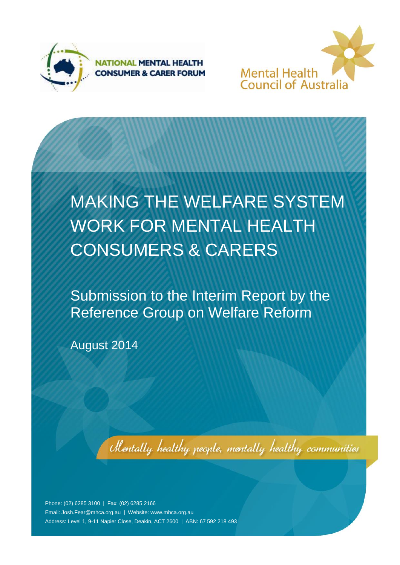



# MAKING THE WELFARE SYSTEM WORK FOR MENTAL HEALTH CONSUMERS & CARERS

Submission to the Interim Report by the Reference Group on Welfare Reform

August 2014

Mentally healthy people, mentally healthy communities

Phone: (02) 6285 3100 | Fax: (02) 6285 2166 Email[: Josh.Fear@mhca.org.au](mailto:Josh.Fear@mhca.org.au) | Website: www.mhca.org.au Address: Level 1, 9-11 Napier Close, Deakin, ACT 2600 | ABN: 67 592 218 493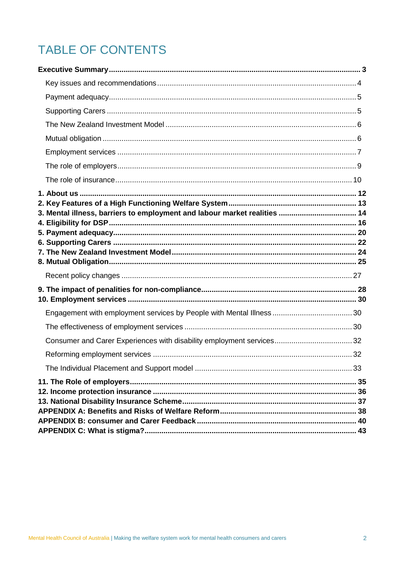# **TABLE OF CONTENTS**

| 3. Mental illness, barriers to employment and labour market realities  14 |  |
|---------------------------------------------------------------------------|--|
|                                                                           |  |
|                                                                           |  |
|                                                                           |  |
|                                                                           |  |
|                                                                           |  |
|                                                                           |  |
|                                                                           |  |
|                                                                           |  |
|                                                                           |  |
|                                                                           |  |
|                                                                           |  |
|                                                                           |  |
|                                                                           |  |
|                                                                           |  |
|                                                                           |  |
|                                                                           |  |
|                                                                           |  |
|                                                                           |  |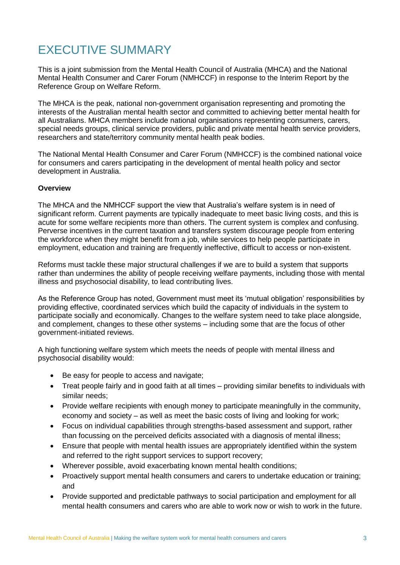# <span id="page-2-0"></span>EXECUTIVE SUMMARY

This is a joint submission from the Mental Health Council of Australia (MHCA) and the National Mental Health Consumer and Carer Forum (NMHCCF) in response to the Interim Report by the Reference Group on Welfare Reform.

The MHCA is the peak, national non-government organisation representing and promoting the interests of the Australian mental health sector and committed to achieving better mental health for all Australians. MHCA members include national organisations representing consumers, carers, special needs groups, clinical service providers, public and private mental health service providers, researchers and state/territory community mental health peak bodies.

The National Mental Health Consumer and Carer Forum (NMHCCF) is the combined national voice for consumers and carers participating in the development of mental health policy and sector development in Australia.

#### **Overview**

The MHCA and the NMHCCF support the view that Australia's welfare system is in need of significant reform. Current payments are typically inadequate to meet basic living costs, and this is acute for some welfare recipients more than others. The current system is complex and confusing. Perverse incentives in the current taxation and transfers system discourage people from entering the workforce when they might benefit from a job, while services to help people participate in employment, education and training are frequently ineffective, difficult to access or non-existent.

Reforms must tackle these major structural challenges if we are to build a system that supports rather than undermines the ability of people receiving welfare payments, including those with mental illness and psychosocial disability, to lead contributing lives.

As the Reference Group has noted, Government must meet its 'mutual obligation' responsibilities by providing effective, coordinated services which build the capacity of individuals in the system to participate socially and economically. Changes to the welfare system need to take place alongside, and complement, changes to these other systems – including some that are the focus of other government-initiated reviews.

A high functioning welfare system which meets the needs of people with mental illness and psychosocial disability would:

- Be easy for people to access and navigate;
- Treat people fairly and in good faith at all times providing similar benefits to individuals with similar needs;
- Provide welfare recipients with enough money to participate meaningfully in the community, economy and society – as well as meet the basic costs of living and looking for work;
- Focus on individual capabilities through strengths-based assessment and support, rather than focussing on the perceived deficits associated with a diagnosis of mental illness;
- Ensure that people with mental health issues are appropriately identified within the system and referred to the right support services to support recovery;
- Wherever possible, avoid exacerbating known mental health conditions;
- Proactively support mental health consumers and carers to undertake education or training; and
- Provide supported and predictable pathways to social participation and employment for all mental health consumers and carers who are able to work now or wish to work in the future.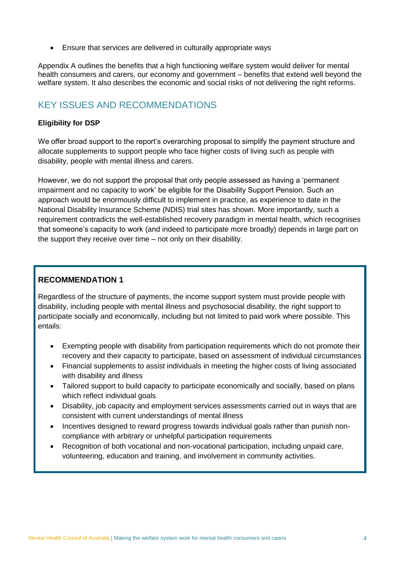Ensure that services are delivered in culturally appropriate ways

Appendix A outlines the benefits that a high functioning welfare system would deliver for mental health consumers and carers, our economy and government – benefits that extend well beyond the welfare system. It also describes the economic and social risks of not delivering the right reforms.

### <span id="page-3-0"></span>KEY ISSUES AND RECOMMENDATIONS

#### **Eligibility for DSP**

We offer broad support to the report's overarching proposal to simplify the payment structure and allocate supplements to support people who face higher costs of living such as people with disability, people with mental illness and carers.

However, we do not support the proposal that only people assessed as having a 'permanent impairment and no capacity to work' be eligible for the Disability Support Pension. Such an approach would be enormously difficult to implement in practice, as experience to date in the National Disability Insurance Scheme (NDIS) trial sites has shown. More importantly, such a requirement contradicts the well-established recovery paradigm in mental health, which recognises that someone's capacity to work (and indeed to participate more broadly) depends in large part on the support they receive over time – not only on their disability.

### **RECOMMENDATION 1**

Regardless of the structure of payments, the income support system must provide people with disability, including people with mental illness and psychosocial disability, the right support to participate socially and economically, including but not limited to paid work where possible. This entails:

- Exempting people with disability from participation requirements which do not promote their recovery and their capacity to participate, based on assessment of individual circumstances
- Financial supplements to assist individuals in meeting the higher costs of living associated with disability and illness
- Tailored support to build capacity to participate economically and socially, based on plans which reflect individual goals
- Disability, job capacity and employment services assessments carried out in ways that are consistent with current understandings of mental illness
- Incentives designed to reward progress towards individual goals rather than punish noncompliance with arbitrary or unhelpful participation requirements
- Recognition of both vocational and non-vocational participation, including unpaid care, volunteering, education and training, and involvement in community activities.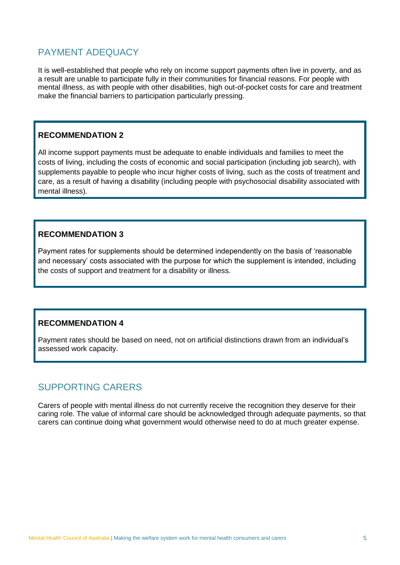### <span id="page-4-0"></span>PAYMENT ADEQUACY

It is well-established that people who rely on income support payments often live in poverty, and as a result are unable to participate fully in their communities for financial reasons. For people with mental illness, as with people with other disabilities, high out-of-pocket costs for care and treatment make the financial barriers to participation particularly pressing.

### **RECOMMENDATION 2**

All income support payments must be adequate to enable individuals and families to meet the costs of living, including the costs of economic and social participation (including job search), with supplements payable to people who incur higher costs of living, such as the costs of treatment and care, as a result of having a disability (including people with psychosocial disability associated with mental illness).

### **RECOMMENDATION 3**

Payment rates for supplements should be determined independently on the basis of 'reasonable and necessary' costs associated with the purpose for which the supplement is intended, including the costs of support and treatment for a disability or illness.

### **RECOMMENDATION 4**

Payment rates should be based on need, not on artificial distinctions drawn from an individual's assessed work capacity.

### <span id="page-4-1"></span>SUPPORTING CARERS

Carers of people with mental illness do not currently receive the recognition they deserve for their caring role. The value of informal care should be acknowledged through adequate payments, so that carers can continue doing what government would otherwise need to do at much greater expense.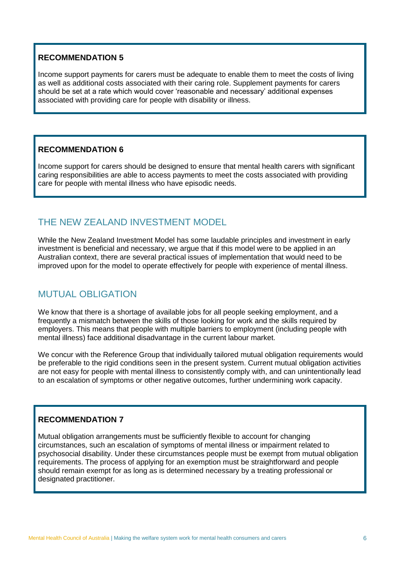Income support payments for carers must be adequate to enable them to meet the costs of living as well as additional costs associated with their caring role. Supplement payments for carers should be set at a rate which would cover 'reasonable and necessary' additional expenses associated with providing care for people with disability or illness.

### **RECOMMENDATION 6**

Income support for carers should be designed to ensure that mental health carers with significant caring responsibilities are able to access payments to meet the costs associated with providing care for people with mental illness who have episodic needs.

# <span id="page-5-0"></span>THE NEW ZEALAND INVESTMENT MODEL

While the New Zealand Investment Model has some laudable principles and investment in early investment is beneficial and necessary, we argue that if this model were to be applied in an Australian context, there are several practical issues of implementation that would need to be improved upon for the model to operate effectively for people with experience of mental illness.

### <span id="page-5-1"></span>MUTUAL OBLIGATION

We know that there is a shortage of available jobs for all people seeking employment, and a frequently a mismatch between the skills of those looking for work and the skills required by employers. This means that people with multiple barriers to employment (including people with mental illness) face additional disadvantage in the current labour market.

We concur with the Reference Group that individually tailored mutual obligation requirements would be preferable to the rigid conditions seen in the present system. Current mutual obligation activities are not easy for people with mental illness to consistently comply with, and can unintentionally lead to an escalation of symptoms or other negative outcomes, further undermining work capacity.

### **RECOMMENDATION 7**

Mutual obligation arrangements must be sufficiently flexible to account for changing circumstances, such an escalation of symptoms of mental illness or impairment related to psychosocial disability. Under these circumstances people must be exempt from mutual obligation requirements. The process of applying for an exemption must be straightforward and people should remain exempt for as long as is determined necessary by a treating professional or designated practitioner.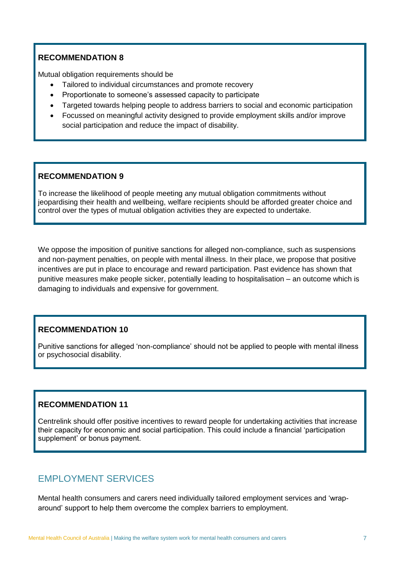Mutual obligation requirements should be

- Tailored to individual circumstances and promote recovery
- Proportionate to someone's assessed capacity to participate
- Targeted towards helping people to address barriers to social and economic participation
- Focussed on meaningful activity designed to provide employment skills and/or improve social participation and reduce the impact of disability.

### **RECOMMENDATION 9**

To increase the likelihood of people meeting any mutual obligation commitments without jeopardising their health and wellbeing, welfare recipients should be afforded greater choice and control over the types of mutual obligation activities they are expected to undertake.

We oppose the imposition of punitive sanctions for alleged non-compliance, such as suspensions and non-payment penalties, on people with mental illness. In their place, we propose that positive incentives are put in place to encourage and reward participation. Past evidence has shown that punitive measures make people sicker, potentially leading to hospitalisation – an outcome which is damaging to individuals and expensive for government.

### **RECOMMENDATION 10**

Punitive sanctions for alleged 'non-compliance' should not be applied to people with mental illness or psychosocial disability.

### **RECOMMENDATION 11**

Centrelink should offer positive incentives to reward people for undertaking activities that increase their capacity for economic and social participation. This could include a financial 'participation supplement' or bonus payment.

### <span id="page-6-0"></span>EMPLOYMENT SERVICES

Mental health consumers and carers need individually tailored employment services and 'wraparound' support to help them overcome the complex barriers to employment.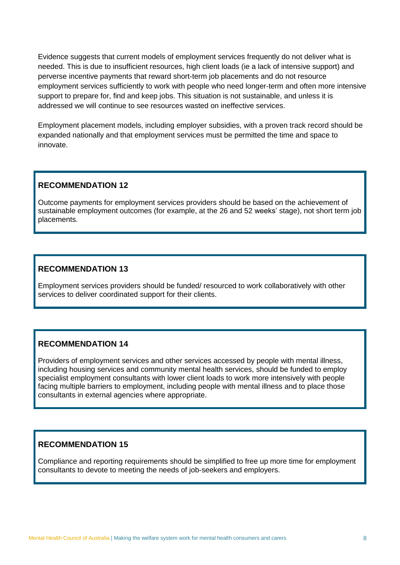Evidence suggests that current models of employment services frequently do not deliver what is needed. This is due to insufficient resources, high client loads (ie a lack of intensive support) and perverse incentive payments that reward short-term job placements and do not resource employment services sufficiently to work with people who need longer-term and often more intensive support to prepare for, find and keep jobs. This situation is not sustainable, and unless it is addressed we will continue to see resources wasted on ineffective services.

Employment placement models, including employer subsidies, with a proven track record should be expanded nationally and that employment services must be permitted the time and space to innovate.

### **RECOMMENDATION 12**

Outcome payments for employment services providers should be based on the achievement of sustainable employment outcomes (for example, at the 26 and 52 weeks' stage), not short term job placements.

### **RECOMMENDATION 13**

Employment services providers should be funded/ resourced to work collaboratively with other services to deliver coordinated support for their clients.

### **RECOMMENDATION 14**

Providers of employment services and other services accessed by people with mental illness, including housing services and community mental health services, should be funded to employ specialist employment consultants with lower client loads to work more intensively with people facing multiple barriers to employment, including people with mental illness and to place those consultants in external agencies where appropriate.

### **RECOMMENDATION 15**

Compliance and reporting requirements should be simplified to free up more time for employment consultants to devote to meeting the needs of job-seekers and employers.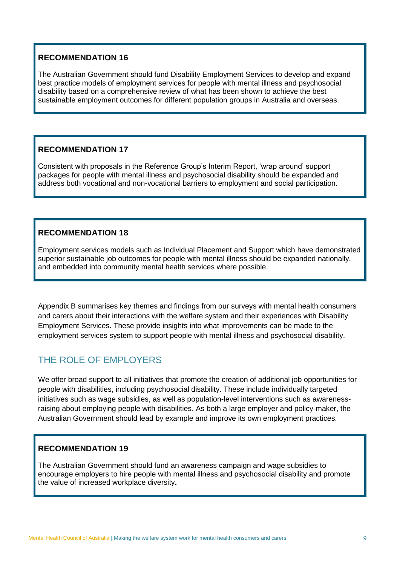The Australian Government should fund Disability Employment Services to develop and expand best practice models of employment services for people with mental illness and psychosocial disability based on a comprehensive review of what has been shown to achieve the best sustainable employment outcomes for different population groups in Australia and overseas.

### **RECOMMENDATION 17**

Consistent with proposals in the Reference Group's Interim Report, 'wrap around' support packages for people with mental illness and psychosocial disability should be expanded and address both vocational and non-vocational barriers to employment and social participation.

### **RECOMMENDATION 18**

Employment services models such as Individual Placement and Support which have demonstrated superior sustainable job outcomes for people with mental illness should be expanded nationally, and embedded into community mental health services where possible.

Appendix B summarises key themes and findings from our surveys with mental health consumers and carers about their interactions with the welfare system and their experiences with Disability Employment Services. These provide insights into what improvements can be made to the employment services system to support people with mental illness and psychosocial disability.

### <span id="page-8-0"></span>THE ROLE OF EMPLOYERS

We offer broad support to all initiatives that promote the creation of additional job opportunities for people with disabilities, including psychosocial disability. These include individually targeted initiatives such as wage subsidies, as well as population-level interventions such as awarenessraising about employing people with disabilities. As both a large employer and policy-maker, the Australian Government should lead by example and improve its own employment practices.

### **RECOMMENDATION 19**

The Australian Government should fund an awareness campaign and wage subsidies to encourage employers to hire people with mental illness and psychosocial disability and promote the value of increased workplace diversity**.**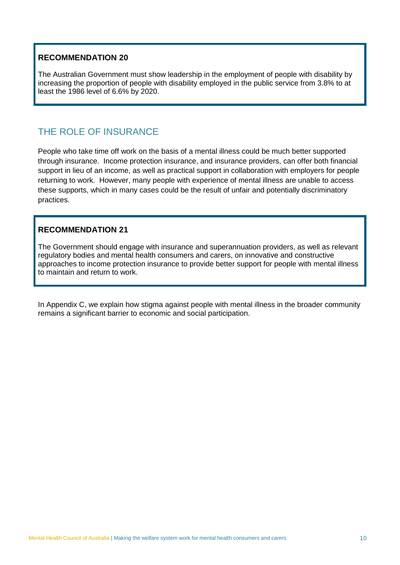The Australian Government must show leadership in the employment of people with disability by increasing the proportion of people with disability employed in the public service from 3.8% to at least the 1986 level of 6.6% by 2020.

### <span id="page-9-0"></span>THE ROLE OF INSURANCE

People who take time off work on the basis of a mental illness could be much better supported through insurance. Income protection insurance, and insurance providers, can offer both financial support in lieu of an income, as well as practical support in collaboration with employers for people returning to work. However, many people with experience of mental illness are unable to access these supports, which in many cases could be the result of unfair and potentially discriminatory practices.

### **RECOMMENDATION 21**

The Government should engage with insurance and superannuation providers, as well as relevant regulatory bodies and mental health consumers and carers, on innovative and constructive approaches to income protection insurance to provide better support for people with mental illness to maintain and return to work.

In Appendix C, we explain how stigma against people with mental illness in the broader community remains a significant barrier to economic and social participation.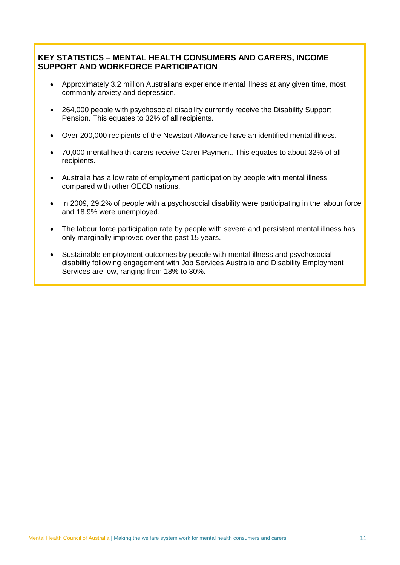### **KEY STATISTICS – MENTAL HEALTH CONSUMERS AND CARERS, INCOME SUPPORT AND WORKFORCE PARTICIPATION**

- Approximately 3.2 million Australians experience mental illness at any given time, most commonly anxiety and depression.
- 264,000 people with psychosocial disability currently receive the Disability Support Pension. This equates to 32% of all recipients.
- Over 200,000 recipients of the Newstart Allowance have an identified mental illness.
- 70,000 mental health carers receive Carer Payment. This equates to about 32% of all recipients.
- Australia has a low rate of employment participation by people with mental illness compared with other OECD nations.
- In 2009, 29.2% of people with a psychosocial disability were participating in the labour force and 18.9% were unemployed.
- The labour force participation rate by people with severe and persistent mental illness has only marginally improved over the past 15 years.
- Sustainable employment outcomes by people with mental illness and psychosocial disability following engagement with Job Services Australia and Disability Employment Services are low, ranging from 18% to 30%.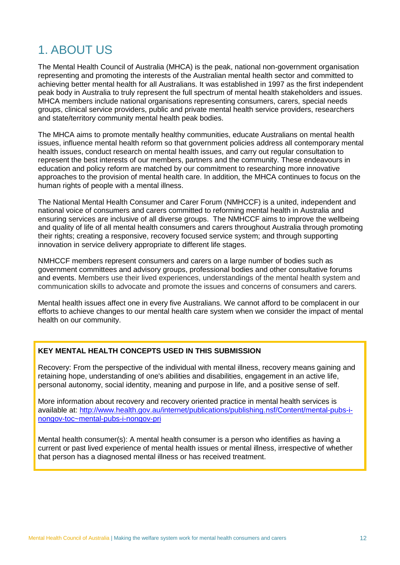# <span id="page-11-0"></span>1. ABOUT US

The Mental Health Council of Australia (MHCA) is the peak, national non-government organisation representing and promoting the interests of the Australian mental health sector and committed to achieving better mental health for all Australians. It was established in 1997 as the first independent peak body in Australia to truly represent the full spectrum of mental health stakeholders and issues. MHCA members include national organisations representing consumers, carers, special needs groups, clinical service providers, public and private mental health service providers, researchers and state/territory community mental health peak bodies.

The MHCA aims to promote mentally healthy communities, educate Australians on mental health issues, influence mental health reform so that government policies address all contemporary mental health issues, conduct research on mental health issues, and carry out regular consultation to represent the best interests of our members, partners and the community. These endeavours in education and policy reform are matched by our commitment to researching more innovative approaches to the provision of mental health care. In addition, the MHCA continues to focus on the human rights of people with a mental illness.

The National Mental Health Consumer and Carer Forum (NMHCCF) is a united, independent and national voice of consumers and carers committed to reforming mental health in Australia and ensuring services are inclusive of all diverse groups. The NMHCCF aims to improve the wellbeing and quality of life of all mental health consumers and carers throughout Australia through promoting their rights; creating a responsive, recovery focused service system; and through supporting innovation in service delivery appropriate to different life stages.

NMHCCF members represent consumers and carers on a large number of bodies such as government committees and advisory groups, professional bodies and other consultative forums and events. Members use their lived experiences, understandings of the mental health system and communication skills to advocate and promote the issues and concerns of consumers and carers.

Mental health issues affect one in every five Australians. We cannot afford to be complacent in our efforts to achieve changes to our mental health care system when we consider the impact of mental health on our community.

#### **KEY MENTAL HEALTH CONCEPTS USED IN THIS SUBMISSION**

Recovery: From the perspective of the individual with mental illness, recovery means gaining and retaining hope, understanding of one's abilities and disabilities, engagement in an active life, personal autonomy, social identity, meaning and purpose in life, and a positive sense of self.

More information about recovery and recovery oriented practice in mental health services is available at: [http://www.health.gov.au/internet/publications/publishing.nsf/Content/mental-pubs-i](http://www.health.gov.au/internet/publications/publishing.nsf/Content/mental-pubs-i-nongov-toc~mental-pubs-i-nongov-pri)[nongov-toc~mental-pubs-i-nongov-pri](http://www.health.gov.au/internet/publications/publishing.nsf/Content/mental-pubs-i-nongov-toc~mental-pubs-i-nongov-pri)

Mental health consumer(s): A mental health consumer is a person who identifies as having a current or past lived experience of mental health issues or mental illness, irrespective of whether that person has a diagnosed mental illness or has received treatment.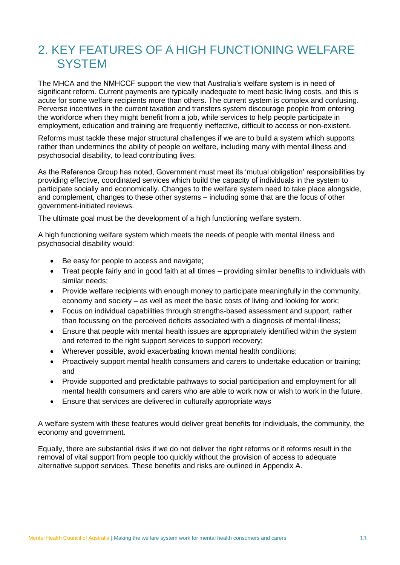# <span id="page-12-0"></span>2. KEY FEATURES OF A HIGH FUNCTIONING WELFARE **SYSTEM**

The MHCA and the NMHCCF support the view that Australia's welfare system is in need of significant reform. Current payments are typically inadequate to meet basic living costs, and this is acute for some welfare recipients more than others. The current system is complex and confusing. Perverse incentives in the current taxation and transfers system discourage people from entering the workforce when they might benefit from a job, while services to help people participate in employment, education and training are frequently ineffective, difficult to access or non-existent.

Reforms must tackle these major structural challenges if we are to build a system which supports rather than undermines the ability of people on welfare, including many with mental illness and psychosocial disability, to lead contributing lives.

As the Reference Group has noted, Government must meet its 'mutual obligation' responsibilities by providing effective, coordinated services which build the capacity of individuals in the system to participate socially and economically. Changes to the welfare system need to take place alongside, and complement, changes to these other systems – including some that are the focus of other government-initiated reviews.

The ultimate goal must be the development of a high functioning welfare system.

A high functioning welfare system which meets the needs of people with mental illness and psychosocial disability would:

- Be easy for people to access and navigate;
- Treat people fairly and in good faith at all times providing similar benefits to individuals with similar needs;
- Provide welfare recipients with enough money to participate meaningfully in the community, economy and society – as well as meet the basic costs of living and looking for work;
- Focus on individual capabilities through strengths-based assessment and support, rather than focussing on the perceived deficits associated with a diagnosis of mental illness;
- Ensure that people with mental health issues are appropriately identified within the system and referred to the right support services to support recovery;
- Wherever possible, avoid exacerbating known mental health conditions;
- Proactively support mental health consumers and carers to undertake education or training; and
- Provide supported and predictable pathways to social participation and employment for all mental health consumers and carers who are able to work now or wish to work in the future.
- Ensure that services are delivered in culturally appropriate ways

A welfare system with these features would deliver great benefits for individuals, the community, the economy and government.

Equally, there are substantial risks if we do not deliver the right reforms or if reforms result in the removal of vital support from people too quickly without the provision of access to adequate alternative support services. These benefits and risks are outlined in Appendix A.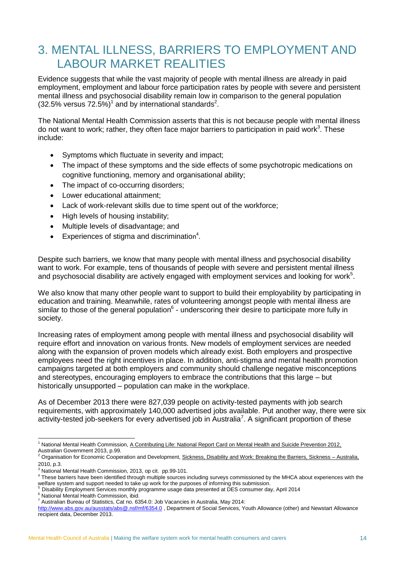# <span id="page-13-0"></span>3. MENTAL ILLNESS, BARRIERS TO EMPLOYMENT AND LABOUR MARKET REALITIES

Evidence suggests that while the vast majority of people with mental illness are already in paid employment, employment and labour force participation rates by people with severe and persistent mental illness and psychosocial disability remain low in comparison to the general population  $(32.5\%$  versus 72.5%)<sup>1</sup> and by international standards<sup>2</sup>.

The National Mental Health Commission asserts that this is not because people with mental illness do not want to work; rather, they often face major barriers to participation in paid work<sup>3</sup>. These include:

- Symptoms which fluctuate in severity and impact;
- The impact of these symptoms and the side effects of some psychotropic medications on cognitive functioning, memory and organisational ability;
- The impact of co-occurring disorders:
- Lower educational attainment;
- Lack of work-relevant skills due to time spent out of the workforce;
- High levels of housing instability;
- Multiple levels of disadvantage; and
- Experiences of stigma and discrimination<sup>4</sup>.

Despite such barriers, we know that many people with mental illness and psychosocial disability want to work. For example, tens of thousands of people with severe and persistent mental illness and psychosocial disability are actively engaged with employment services and looking for work $5$ .

We also know that many other people want to support to build their employability by participating in education and training. Meanwhile, rates of volunteering amongst people with mental illness are similar to those of the general population<sup>6</sup> - underscoring their desire to participate more fully in society.

Increasing rates of employment among people with mental illness and psychosocial disability will require effort and innovation on various fronts. New models of employment services are needed along with the expansion of proven models which already exist. Both employers and prospective employees need the right incentives in place. In addition, anti-stigma and mental health promotion campaigns targeted at both employers and community should challenge negative misconceptions and stereotypes, encouraging employers to embrace the contributions that this large – but historically unsupported – population can make in the workplace.

As of December 2013 there were 827,039 people on activity-tested payments with job search requirements, with approximately 140,000 advertised jobs available. Put another way, there were six activity-tested job-seekers for every advertised job in Australia<sup>7</sup>. A significant proportion of these

<sup>5</sup> Disability Employment Services monthly programme usage data presented at DES consumer day, April 2014

<sup>6</sup> National Mental Health Commission, ibid.

-

<sup>&</sup>lt;sup>1</sup> National Mental Health Commission, A Contributing Life: National Report Card on Mental Health and Suicide Prevention 2012, Australian Government 2013, p.99.

<sup>&</sup>lt;sup>2</sup> Organisation for Economic Cooperation and Development, Sickness, Disability and Work: Breaking the Barriers, Sickness - Australia, 2010, p.3.

 $3$  National Mental Health Commission, 2013, op cit. pp.99-101.

<sup>&</sup>lt;sup>4</sup> These barriers have been identified through multiple sources including surveys commissioned by the MHCA about experiences with the welfare system and support needed to take up work for the purposes of informing this submission.

 $7$  Australian Bureau of Statistics, Cat no. 6354.0: Job Vacancies in Australia, May 2014:

<http://www.abs.gov.au/ausstats/abs@.nsf/mf/6354.0> , Department of Social Services, Youth Allowance (other) and Newstart Allowance recipient data, December 2013.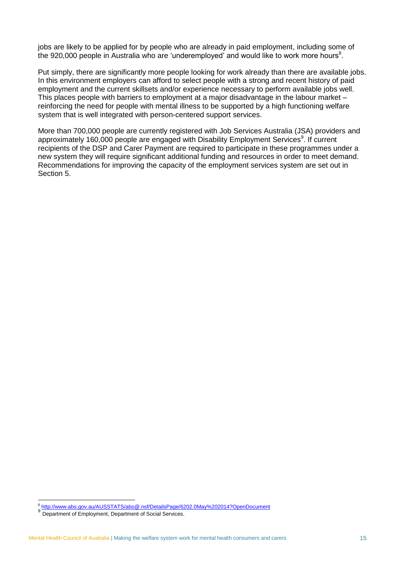jobs are likely to be applied for by people who are already in paid employment, including some of the 920,000 people in Australia who are 'underemployed' and would like to work more hours<sup>8</sup>.

Put simply, there are significantly more people looking for work already than there are available jobs. In this environment employers can afford to select people with a strong and recent history of paid employment and the current skillsets and/or experience necessary to perform available jobs well. This places people with barriers to employment at a major disadvantage in the labour market – reinforcing the need for people with mental illness to be supported by a high functioning welfare system that is well integrated with person-centered support services.

More than 700,000 people are currently registered with Job Services Australia (JSA) providers and approximately 160,000 people are engaged with Disability Employment Services<sup>9</sup>. If current recipients of the DSP and Carer Payment are required to participate in these programmes under a new system they will require significant additional funding and resources in order to meet demand. Recommendations for improving the capacity of the employment services system are set out in Section 5.

\_<br><sup>8</sup> <http://www.abs.gov.au/AUSSTATS/abs@.nsf/DetailsPage/6202.0May%202014?OpenDocument>

<sup>9</sup> Department of Employment, Department of Social Services.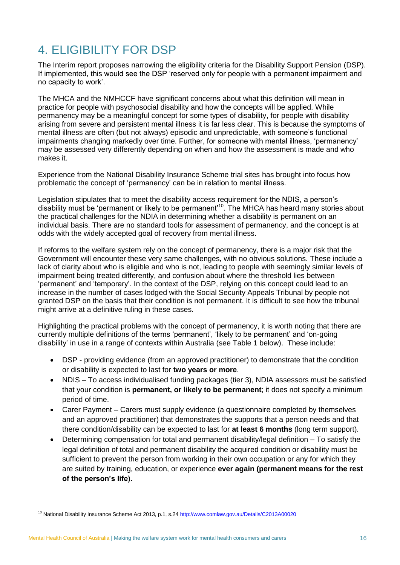# <span id="page-15-0"></span>4. ELIGIBILITY FOR DSP

The Interim report proposes narrowing the eligibility criteria for the Disability Support Pension (DSP). If implemented, this would see the DSP 'reserved only for people with a permanent impairment and no capacity to work'.

The MHCA and the NMHCCF have significant concerns about what this definition will mean in practice for people with psychosocial disability and how the concepts will be applied. While permanency may be a meaningful concept for some types of disability, for people with disability arising from severe and persistent mental illness it is far less clear. This is because the symptoms of mental illness are often (but not always) episodic and unpredictable, with someone's functional impairments changing markedly over time. Further, for someone with mental illness, 'permanency' may be assessed very differently depending on when and how the assessment is made and who makes it.

Experience from the National Disability Insurance Scheme trial sites has brought into focus how problematic the concept of 'permanency' can be in relation to mental illness.

Legislation stipulates that to meet the disability access requirement for the NDIS, a person's disability must be 'permanent or likely to be permanent<sup>10</sup>. The MHCA has heard many stories about the practical challenges for the NDIA in determining whether a disability is permanent on an individual basis. There are no standard tools for assessment of permanency, and the concept is at odds with the widely accepted goal of recovery from mental illness.

If reforms to the welfare system rely on the concept of permanency, there is a major risk that the Government will encounter these very same challenges, with no obvious solutions. These include a lack of clarity about who is eligible and who is not, leading to people with seemingly similar levels of impairment being treated differently, and confusion about where the threshold lies between 'permanent' and 'temporary'. In the context of the DSP, relying on this concept could lead to an increase in the number of cases lodged with the Social Security Appeals Tribunal by people not granted DSP on the basis that their condition is not permanent. It is difficult to see how the tribunal might arrive at a definitive ruling in these cases.

Highlighting the practical problems with the concept of permanency, it is worth noting that there are currently multiple definitions of the terms 'permanent', 'likely to be permanent' and 'on-going disability' in use in a range of contexts within Australia (see Table 1 below). These include:

- DSP providing evidence (from an approved practitioner) to demonstrate that the condition or disability is expected to last for **two years or more**.
- NDIS To access individualised funding packages (tier 3), NDIA assessors must be satisfied that your condition is **permanent, or likely to be permanent**; it does not specify a minimum period of time.
- Carer Payment Carers must supply evidence (a questionnaire completed by themselves and an approved practitioner) that demonstrates the supports that a person needs and that there condition/disability can be expected to last for **at least 6 months** (long term support).
- Determining compensation for total and permanent disability/legal definition To satisfy the legal definition of total and permanent disability the acquired condition or disability must be sufficient to prevent the person from working in their own occupation or any for which they are suited by training, education, or experience **ever again (permanent means for the rest of the person's life).**

<sup>10</sup> National Disability Insurance Scheme Act 2013, p.1, s.24<http://www.comlaw.gov.au/Details/C2013A00020>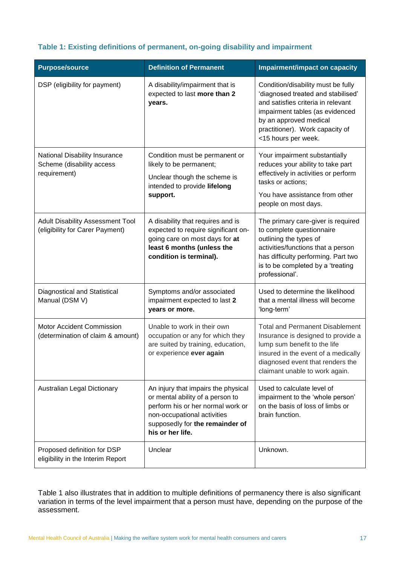#### **Table 1: Existing definitions of permanent, on-going disability and impairment**

| <b>Purpose/source</b>                                                      | <b>Definition of Permanent</b>                                                                                                                                                                     | <b>Impairment/impact on capacity</b>                                                                                                                                                                                                  |
|----------------------------------------------------------------------------|----------------------------------------------------------------------------------------------------------------------------------------------------------------------------------------------------|---------------------------------------------------------------------------------------------------------------------------------------------------------------------------------------------------------------------------------------|
| DSP (eligibility for payment)                                              | A disability/impairment that is<br>expected to last more than 2<br>years.                                                                                                                          | Condition/disability must be fully<br>'diagnosed treated and stabilised'<br>and satisfies criteria in relevant<br>impairment tables (as evidenced<br>by an approved medical<br>practitioner). Work capacity of<br><15 hours per week. |
| National Disability Insurance<br>Scheme (disability access<br>requirement) | Condition must be permanent or<br>likely to be permanent;<br>Unclear though the scheme is<br>intended to provide lifelong<br>support.                                                              | Your impairment substantially<br>reduces your ability to take part<br>effectively in activities or perform<br>tasks or actions;<br>You have assistance from other<br>people on most days.                                             |
| <b>Adult Disability Assessment Tool</b><br>(eligibility for Carer Payment) | A disability that requires and is<br>expected to require significant on-<br>going care on most days for at<br>least 6 months (unless the<br>condition is terminal).                                | The primary care-giver is required<br>to complete questionnaire<br>outlining the types of<br>activities/functions that a person<br>has difficulty performing. Part two<br>is to be completed by a 'treating<br>professional'.         |
| Diagnostical and Statistical<br>Manual (DSM V)                             | Symptoms and/or associated<br>impairment expected to last 2<br>years or more.                                                                                                                      | Used to determine the likelihood<br>that a mental illness will become<br>'long-term'                                                                                                                                                  |
| Motor Accident Commission<br>(determination of claim & amount)             | Unable to work in their own<br>occupation or any for which they<br>are suited by training, education,<br>or experience ever again                                                                  | <b>Total and Permanent Disablement</b><br>Insurance is designed to provide a<br>lump sum benefit to the life<br>insured in the event of a medically<br>diagnosed event that renders the<br>claimant unable to work again.             |
| Australian Legal Dictionary                                                | An injury that impairs the physical<br>or mental ability of a person to<br>perform his or her normal work or<br>non-occupational activities<br>supposedly for the remainder of<br>his or her life. | Used to calculate level of<br>impairment to the 'whole person'<br>on the basis of loss of limbs or<br>brain function.                                                                                                                 |
| Proposed definition for DSP<br>eligibility in the Interim Report           | Unclear                                                                                                                                                                                            | Unknown.                                                                                                                                                                                                                              |

Table 1 also illustrates that in addition to multiple definitions of permanency there is also significant variation in terms of the level impairment that a person must have, depending on the purpose of the assessment.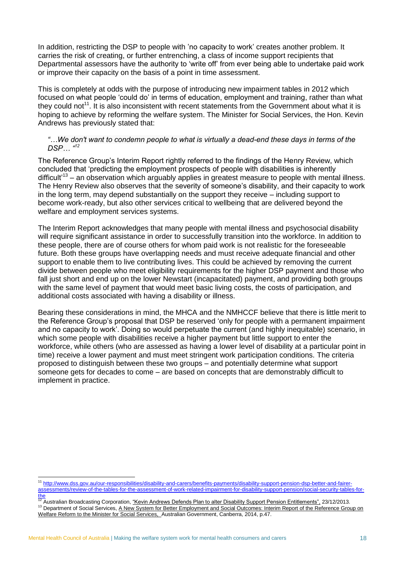In addition, restricting the DSP to people with 'no capacity to work' creates another problem. It carries the risk of creating, or further entrenching, a class of income support recipients that Departmental assessors have the authority to 'write off' from ever being able to undertake paid work or improve their capacity on the basis of a point in time assessment.

This is completely at odds with the purpose of introducing new impairment tables in 2012 which focused on what people 'could do' in terms of education, employment and training, rather than what they could not<sup>11</sup>. It is also inconsistent with recent statements from the Government about what it is hoping to achieve by reforming the welfare system. The Minister for Social Services, the Hon. Kevin Andrews has previously stated that:

#### *"…We don't want to condemn people to what is virtually a dead-end these days in terms of the DSP… " 12*

The Reference Group's Interim Report rightly referred to the findings of the Henry Review, which concluded that 'predicting the employment prospects of people with disabilities is inherently difficult<sup>13</sup> – an observation which arguably applies in greatest measure to people with mental illness. The Henry Review also observes that the severity of someone's disability, and their capacity to work in the long term, may depend substantially on the support they receive – including support to become work-ready, but also other services critical to wellbeing that are delivered beyond the welfare and employment services systems.

The Interim Report acknowledges that many people with mental illness and psychosocial disability will require significant assistance in order to successfully transition into the workforce. In addition to these people, there are of course others for whom paid work is not realistic for the foreseeable future. Both these groups have overlapping needs and must receive adequate financial and other support to enable them to live contributing lives. This could be achieved by removing the current divide between people who meet eligibility requirements for the higher DSP payment and those who fall just short and end up on the lower Newstart (incapacitated) payment, and providing both groups with the same level of payment that would meet basic living costs, the costs of participation, and additional costs associated with having a disability or illness.

Bearing these considerations in mind, the MHCA and the NMHCCF believe that there is little merit to the Reference Group's proposal that DSP be reserved 'only for people with a permanent impairment and no capacity to work'. Doing so would perpetuate the current (and highly inequitable) scenario, in which some people with disabilities receive a higher payment but little support to enter the workforce, while others (who are assessed as having a lower level of disability at a particular point in time) receive a lower payment and must meet stringent work participation conditions. The criteria proposed to distinguish between these two groups – and potentially determine what support someone gets for decades to come – are based on concepts that are demonstrably difficult to implement in practice.

 $\overline{a}$ 

<sup>11</sup> [http://www.dss.gov.au/our-responsibilities/disability-and-carers/benefits-payments/disability-support-pension-dsp-better-and-fairer](http://www.dss.gov.au/our-responsibilities/disability-and-carers/benefits-payments/disability-support-pension-dsp-better-and-fairer-assessments/review-of-the-tables-for-the-assessment-of-work-related-impairment-for-disability-support-pension/social-security-tables-for-the)[assessments/review-of-the-tables-for-the-assessment-of-work-related-impairment-for-disability-support-pension/social-security-tables-for-](http://www.dss.gov.au/our-responsibilities/disability-and-carers/benefits-payments/disability-support-pension-dsp-better-and-fairer-assessments/review-of-the-tables-for-the-assessment-of-work-related-impairment-for-disability-support-pension/social-security-tables-for-the)

<sup>&</sup>lt;u>[the](http://www.dss.gov.au/our-responsibilities/disability-and-carers/benefits-payments/disability-support-pension-dsp-better-and-fairer-assessments/review-of-the-tables-for-the-assessment-of-work-related-impairment-for-disability-support-pension/social-security-tables-for-the)</u><br><sup>12</sup> Australian Broadcasting Corporation, <u>"Kevin Andrews Defends Plan to alter Disability Support Pension Entitlements", 23/12/2013.</u>

<sup>&</sup>lt;sup>13</sup> Department of Social Services, A New System for Better Employment and Social Outcomes: Interim Report of the Reference Group on Welfare Reform to the Minister for Social Services, Australian Government, Canberra, 2014, p.47.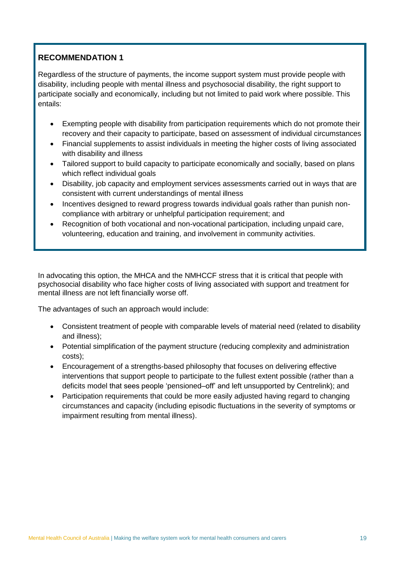Regardless of the structure of payments, the income support system must provide people with disability, including people with mental illness and psychosocial disability, the right support to participate socially and economically, including but not limited to paid work where possible. This entails:

- Exempting people with disability from participation requirements which do not promote their recovery and their capacity to participate, based on assessment of individual circumstances
- Financial supplements to assist individuals in meeting the higher costs of living associated with disability and illness
- Tailored support to build capacity to participate economically and socially, based on plans which reflect individual goals
- Disability, job capacity and employment services assessments carried out in ways that are consistent with current understandings of mental illness
- Incentives designed to reward progress towards individual goals rather than punish noncompliance with arbitrary or unhelpful participation requirement; and
- Recognition of both vocational and non-vocational participation, including unpaid care, volunteering, education and training, and involvement in community activities.

In advocating this option, the MHCA and the NMHCCF stress that it is critical that people with psychosocial disability who face higher costs of living associated with support and treatment for mental illness are not left financially worse off.

The advantages of such an approach would include:

- Consistent treatment of people with comparable levels of material need (related to disability and illness);
- Potential simplification of the payment structure (reducing complexity and administration costs);
- Encouragement of a strengths-based philosophy that focuses on delivering effective interventions that support people to participate to the fullest extent possible (rather than a deficits model that sees people 'pensioned–off' and left unsupported by Centrelink); and
- Participation requirements that could be more easily adjusted having regard to changing circumstances and capacity (including episodic fluctuations in the severity of symptoms or impairment resulting from mental illness).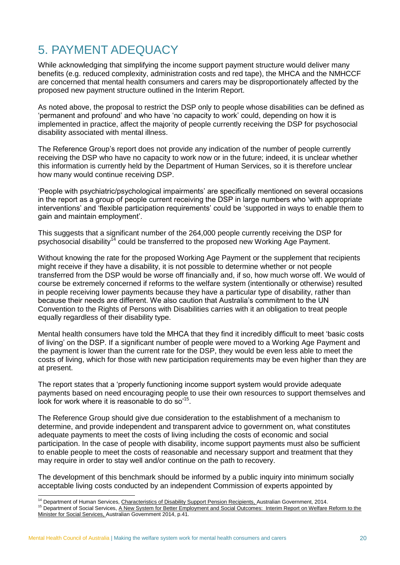# <span id="page-19-0"></span>5. PAYMENT ADEQUACY

While acknowledging that simplifying the income support payment structure would deliver many benefits (e.g. reduced complexity, administration costs and red tape), the MHCA and the NMHCCF are concerned that mental health consumers and carers may be disproportionately affected by the proposed new payment structure outlined in the Interim Report.

As noted above, the proposal to restrict the DSP only to people whose disabilities can be defined as 'permanent and profound' and who have 'no capacity to work' could, depending on how it is implemented in practice, affect the majority of people currently receiving the DSP for psychosocial disability associated with mental illness.

The Reference Group's report does not provide any indication of the number of people currently receiving the DSP who have no capacity to work now or in the future; indeed, it is unclear whether this information is currently held by the Department of Human Services, so it is therefore unclear how many would continue receiving DSP.

'People with psychiatric/psychological impairments' are specifically mentioned on several occasions in the report as a group of people current receiving the DSP in large numbers who 'with appropriate interventions' and 'flexible participation requirements' could be 'supported in ways to enable them to gain and maintain employment'.

This suggests that a significant number of the 264,000 people currently receiving the DSP for psychosocial disability<sup>14</sup> could be transferred to the proposed new Working Age Payment.

Without knowing the rate for the proposed Working Age Payment or the supplement that recipients might receive if they have a disability, it is not possible to determine whether or not people transferred from the DSP would be worse off financially and, if so, how much worse off. We would of course be extremely concerned if reforms to the welfare system (intentionally or otherwise) resulted in people receiving lower payments because they have a particular type of disability, rather than because their needs are different. We also caution that Australia's commitment to the UN Convention to the Rights of Persons with Disabilities carries with it an obligation to treat people equally regardless of their disability type.

Mental health consumers have told the MHCA that they find it incredibly difficult to meet 'basic costs of living' on the DSP. If a significant number of people were moved to a Working Age Payment and the payment is lower than the current rate for the DSP, they would be even less able to meet the costs of living, which for those with new participation requirements may be even higher than they are at present.

The report states that a 'properly functioning income support system would provide adequate payments based on need encouraging people to use their own resources to support themselves and look for work where it is reasonable to do so<sup>'15</sup>.

The Reference Group should give due consideration to the establishment of a mechanism to determine, and provide independent and transparent advice to government on, what constitutes adequate payments to meet the costs of living including the costs of economic and social participation. In the case of people with disability, income support payments must also be sufficient to enable people to meet the costs of reasonable and necessary support and treatment that they may require in order to stay well and/or continue on the path to recovery.

The development of this benchmark should be informed by a public inquiry into minimum socially acceptable living costs conducted by an independent Commission of experts appointed by

<sup>-</sup><sup>14</sup> Department of Human Services, Characteristics of Disability Support Pension Recipients, Australian Government, 2014.

<sup>15</sup> Department of Social Services, A New System for Better Employment and Social Outcomes: Interim Report on Welfare Reform to the Minister for Social Services, Australian Government 2014, p.41.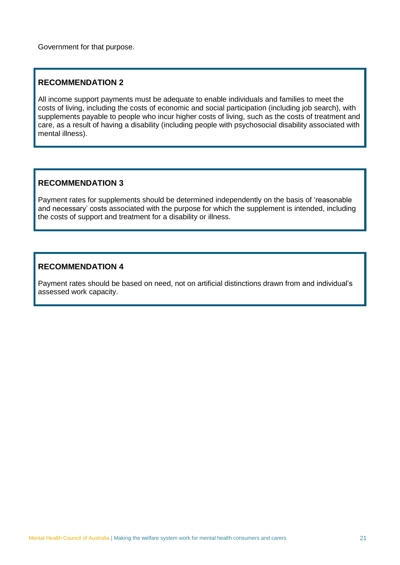Government for that purpose.

### **RECOMMENDATION 2**

All income support payments must be adequate to enable individuals and families to meet the costs of living, including the costs of economic and social participation (including job search), with supplements payable to people who incur higher costs of living, such as the costs of treatment and care, as a result of having a disability (including people with psychosocial disability associated with mental illness).

#### **RECOMMENDATION 3**

Payment rates for supplements should be determined independently on the basis of 'reasonable and necessary' costs associated with the purpose for which the supplement is intended, including the costs of support and treatment for a disability or illness.

#### **RECOMMENDATION 4**

Payment rates should be based on need, not on artificial distinctions drawn from and individual's assessed work capacity.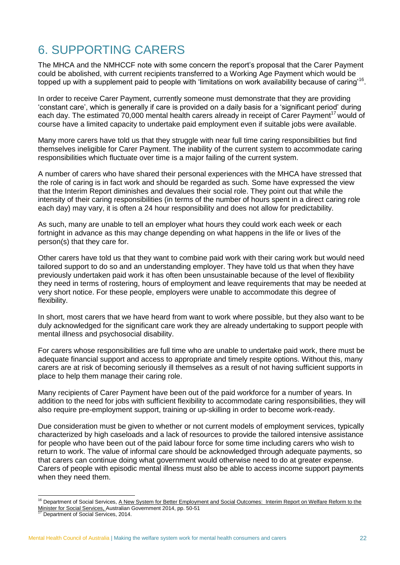# <span id="page-21-0"></span>6. SUPPORTING CARERS

The MHCA and the NMHCCF note with some concern the report's proposal that the Carer Payment could be abolished, with current recipients transferred to a Working Age Payment which would be topped up with a supplement paid to people with 'limitations on work availability because of caring'<sup>16</sup>.

In order to receive Carer Payment, currently someone must demonstrate that they are providing 'constant care', which is generally if care is provided on a daily basis for a 'significant period' during each day. The estimated 70,000 mental health carers already in receipt of Carer Payment<sup>17</sup> would of course have a limited capacity to undertake paid employment even if suitable jobs were available.

Many more carers have told us that they struggle with near full time caring responsibilities but find themselves ineligible for Carer Payment. The inability of the current system to accommodate caring responsibilities which fluctuate over time is a major failing of the current system.

A number of carers who have shared their personal experiences with the MHCA have stressed that the role of caring is in fact work and should be regarded as such. Some have expressed the view that the Interim Report diminishes and devalues their social role. They point out that while the intensity of their caring responsibilities (in terms of the number of hours spent in a direct caring role each day) may vary, it is often a 24 hour responsibility and does not allow for predictability.

As such, many are unable to tell an employer what hours they could work each week or each fortnight in advance as this may change depending on what happens in the life or lives of the person(s) that they care for.

Other carers have told us that they want to combine paid work with their caring work but would need tailored support to do so and an understanding employer. They have told us that when they have previously undertaken paid work it has often been unsustainable because of the level of flexibility they need in terms of rostering, hours of employment and leave requirements that may be needed at very short notice. For these people, employers were unable to accommodate this degree of flexibility.

In short, most carers that we have heard from want to work where possible, but they also want to be duly acknowledged for the significant care work they are already undertaking to support people with mental illness and psychosocial disability.

For carers whose responsibilities are full time who are unable to undertake paid work, there must be adequate financial support and access to appropriate and timely respite options. Without this, many carers are at risk of becoming seriously ill themselves as a result of not having sufficient supports in place to help them manage their caring role.

Many recipients of Carer Payment have been out of the paid workforce for a number of years. In addition to the need for jobs with sufficient flexibility to accommodate caring responsibilities, they will also require pre-employment support, training or up-skilling in order to become work-ready.

Due consideration must be given to whether or not current models of employment services, typically characterized by high caseloads and a lack of resources to provide the tailored intensive assistance for people who have been out of the paid labour force for some time including carers who wish to return to work. The value of informal care should be acknowledged through adequate payments, so that carers can continue doing what government would otherwise need to do at greater expense. Carers of people with episodic mental illness must also be able to access income support payments when they need them.

-

<sup>&</sup>lt;sup>16</sup> Department of Social Services, A New System for Better Employment and Social Outcomes: Interim Report on Welfare Reform to the Minister for Social Services, Australian Government 2014, pp. 50-51<br>Minister for Social Services, Australian Government 2014, pp. 50-51

Department of Social Services, 2014.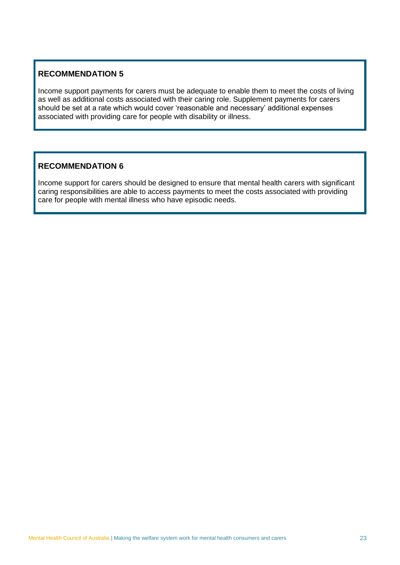Income support payments for carers must be adequate to enable them to meet the costs of living as well as additional costs associated with their caring role. Supplement payments for carers should be set at a rate which would cover 'reasonable and necessary' additional expenses associated with providing care for people with disability or illness.

### **RECOMMENDATION 6**

Income support for carers should be designed to ensure that mental health carers with significant caring responsibilities are able to access payments to meet the costs associated with providing care for people with mental illness who have episodic needs.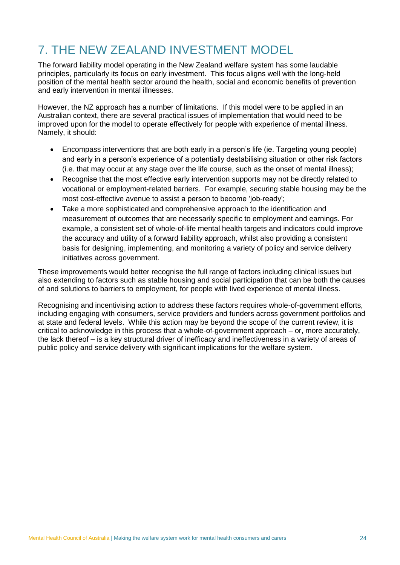# <span id="page-23-0"></span>7. THE NEW ZEALAND INVESTMENT MODEL

The forward liability model operating in the New Zealand welfare system has some laudable principles, particularly its focus on early investment. This focus aligns well with the long-held position of the mental health sector around the health, social and economic benefits of prevention and early intervention in mental illnesses.

However, the NZ approach has a number of limitations. If this model were to be applied in an Australian context, there are several practical issues of implementation that would need to be improved upon for the model to operate effectively for people with experience of mental illness. Namely, it should:

- Encompass interventions that are both early in a person's life (ie. Targeting young people) and early in a person's experience of a potentially destabilising situation or other risk factors (i.e. that may occur at any stage over the life course, such as the onset of mental illness);
- Recognise that the most effective early intervention supports may not be directly related to vocational or employment-related barriers. For example, securing stable housing may be the most cost-effective avenue to assist a person to become 'job-ready';
- Take a more sophisticated and comprehensive approach to the identification and measurement of outcomes that are necessarily specific to employment and earnings. For example, a consistent set of whole-of-life mental health targets and indicators could improve the accuracy and utility of a forward liability approach, whilst also providing a consistent basis for designing, implementing, and monitoring a variety of policy and service delivery initiatives across government.

These improvements would better recognise the full range of factors including clinical issues but also extending to factors such as stable housing and social participation that can be both the causes of and solutions to barriers to employment, for people with lived experience of mental illness.

Recognising and incentivising action to address these factors requires whole-of-government efforts, including engaging with consumers, service providers and funders across government portfolios and at state and federal levels. While this action may be beyond the scope of the current review, it is critical to acknowledge in this process that a whole-of-government approach – or, more accurately, the lack thereof – is a key structural driver of inefficacy and ineffectiveness in a variety of areas of public policy and service delivery with significant implications for the welfare system.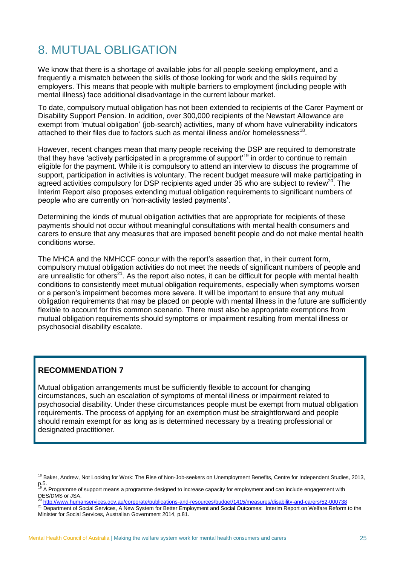# <span id="page-24-0"></span>8. MUTUAL OBLIGATION

We know that there is a shortage of available jobs for all people seeking employment, and a frequently a mismatch between the skills of those looking for work and the skills required by employers. This means that people with multiple barriers to employment (including people with mental illness) face additional disadvantage in the current labour market.

To date, compulsory mutual obligation has not been extended to recipients of the Carer Payment or Disability Support Pension. In addition, over 300,000 recipients of the Newstart Allowance are exempt from 'mutual obligation' (job-search) activities, many of whom have vulnerability indicators attached to their files due to factors such as mental illness and/or homelessness<sup>18</sup>.

However, recent changes mean that many people receiving the DSP are required to demonstrate that they have 'actively participated in a programme of support'<sup>19</sup> in order to continue to remain eligible for the payment. While it is compulsory to attend an interview to discuss the programme of support, participation in activities is voluntary. The recent budget measure will make participating in agreed activities compulsory for DSP recipients aged under  $35$  who are subject to review<sup>20</sup>. The Interim Report also proposes extending mutual obligation requirements to significant numbers of people who are currently on 'non-activity tested payments'.

Determining the kinds of mutual obligation activities that are appropriate for recipients of these payments should not occur without meaningful consultations with mental health consumers and carers to ensure that any measures that are imposed benefit people and do not make mental health conditions worse.

The MHCA and the NMHCCF concur with the report's assertion that, in their current form, compulsory mutual obligation activities do not meet the needs of significant numbers of people and are unrealistic for others<sup>21</sup>. As the report also notes, it can be difficult for people with mental health conditions to consistently meet mutual obligation requirements, especially when symptoms worsen or a person's impairment becomes more severe. It will be important to ensure that any mutual obligation requirements that may be placed on people with mental illness in the future are sufficiently flexible to account for this common scenario. There must also be appropriate exemptions from mutual obligation requirements should symptoms or impairment resulting from mental illness or psychosocial disability escalate.

### **RECOMMENDATION 7**

Mutual obligation arrangements must be sufficiently flexible to account for changing circumstances, such an escalation of symptoms of mental illness or impairment related to psychosocial disability. Under these circumstances people must be exempt from mutual obligation requirements. The process of applying for an exemption must be straightforward and people should remain exempt for as long as is determined necessary by a treating professional or designated practitioner.

<sup>20</sup> <http://www.humanservices.gov.au/corporate/publications-and-resources/budget/1415/measures/disability-and-carers/52-000738>

<sup>-</sup><sup>18</sup> Baker, Andrew, Not Looking for Work: The Rise of Non-Job-seekers on Unemployment Benefits, Centre for Independent Studies, 2013, p.5.<br><sup>19</sup> A Programme of support means a programme designed to increase capacity for employment and can include engagement with

DES/DMS or JSA.

<sup>&</sup>lt;sup>21</sup> Department of Social Services, A New System for Better Employment and Social Outcomes: Interim Report on Welfare Reform to the Minister for Social Services, Australian Government 2014, p.81.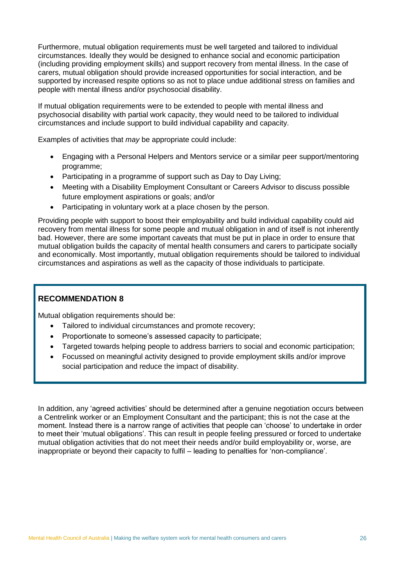Furthermore, mutual obligation requirements must be well targeted and tailored to individual circumstances. Ideally they would be designed to enhance social and economic participation (including providing employment skills) and support recovery from mental illness. In the case of carers, mutual obligation should provide increased opportunities for social interaction, and be supported by increased respite options so as not to place undue additional stress on families and people with mental illness and/or psychosocial disability.

If mutual obligation requirements were to be extended to people with mental illness and psychosocial disability with partial work capacity, they would need to be tailored to individual circumstances and include support to build individual capability and capacity.

Examples of activities that *may* be appropriate could include:

- Engaging with a Personal Helpers and Mentors service or a similar peer support/mentoring programme;
- Participating in a programme of support such as Day to Day Living;
- Meeting with a Disability Employment Consultant or Careers Advisor to discuss possible future employment aspirations or goals; and/or
- Participating in voluntary work at a place chosen by the person.

Providing people with support to boost their employability and build individual capability could aid recovery from mental illness for some people and mutual obligation in and of itself is not inherently bad. However, there are some important caveats that must be put in place in order to ensure that mutual obligation builds the capacity of mental health consumers and carers to participate socially and economically. Most importantly, mutual obligation requirements should be tailored to individual circumstances and aspirations as well as the capacity of those individuals to participate.

### **RECOMMENDATION 8**

Mutual obligation requirements should be:

- Tailored to individual circumstances and promote recovery;
- Proportionate to someone's assessed capacity to participate;
- Targeted towards helping people to address barriers to social and economic participation;
- Focussed on meaningful activity designed to provide employment skills and/or improve social participation and reduce the impact of disability.

In addition, any 'agreed activities' should be determined after a genuine negotiation occurs between a Centrelink worker or an Employment Consultant and the participant; this is not the case at the moment. Instead there is a narrow range of activities that people can 'choose' to undertake in order to meet their 'mutual obligations'. This can result in people feeling pressured or forced to undertake mutual obligation activities that do not meet their needs and/or build employability or, worse, are inappropriate or beyond their capacity to fulfil – leading to penalties for 'non-compliance'.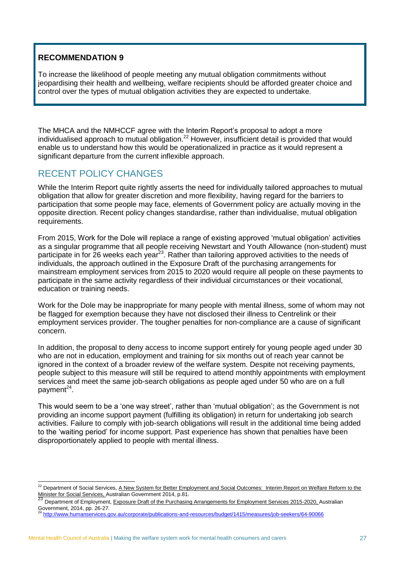To increase the likelihood of people meeting any mutual obligation commitments without jeopardising their health and wellbeing, welfare recipients should be afforded greater choice and control over the types of mutual obligation activities they are expected to undertake.

The MHCA and the NMHCCF agree with the Interim Report's proposal to adopt a more individualised approach to mutual obligation.<sup>22</sup> However, insufficient detail is provided that would enable us to understand how this would be operationalized in practice as it would represent a significant departure from the current inflexible approach.

### <span id="page-26-0"></span>RECENT POLICY CHANGES

While the Interim Report quite rightly asserts the need for individually tailored approaches to mutual obligation that allow for greater discretion and more flexibility, having regard for the barriers to participation that some people may face, elements of Government policy are actually moving in the opposite direction. Recent policy changes standardise, rather than individualise, mutual obligation requirements.

From 2015, Work for the Dole will replace a range of existing approved 'mutual obligation' activities as a singular programme that all people receiving Newstart and Youth Allowance (non-student) must participate in for 26 weeks each year<sup>23</sup>. Rather than tailoring approved activities to the needs of individuals, the approach outlined in the Exposure Draft of the purchasing arrangements for mainstream employment services from 2015 to 2020 would require all people on these payments to participate in the same activity regardless of their individual circumstances or their vocational, education or training needs.

Work for the Dole may be inappropriate for many people with mental illness, some of whom may not be flagged for exemption because they have not disclosed their illness to Centrelink or their employment services provider. The tougher penalties for non-compliance are a cause of significant concern.

In addition, the proposal to deny access to income support entirely for young people aged under 30 who are not in education, employment and training for six months out of reach year cannot be ignored in the context of a broader review of the welfare system. Despite not receiving payments, people subject to this measure will still be required to attend monthly appointments with employment services and meet the same job-search obligations as people aged under 50 who are on a full payment<sup>24</sup>.

This would seem to be a 'one way street', rather than 'mutual obligation'; as the Government is not providing an income support payment (fulfilling its obligation) in return for undertaking job search activities. Failure to comply with job-search obligations will result in the additional time being added to the 'waiting period' for income support. Past experience has shown that penalties have been disproportionately applied to people with mental illness.

<sup>-</sup><sup>22</sup> Department of Social Services, A New System for Better Employment and Social Outcomes: Interim Report on Welfare Reform to the **Minister for Social Services, Australian Government 2014, p.81.**<br>
2018 Minister for Social Services, Australian Government 2014, p.81.

Department of Employment, Exposure Draft of the Purchasing Arrangements for Employment Services 2015-2020, Australian Government, 2014, pp. 26-27.

<sup>24</sup> <http://www.humanservices.gov.au/corporate/publications-and-resources/budget/1415/measures/job-seekers/64-90066>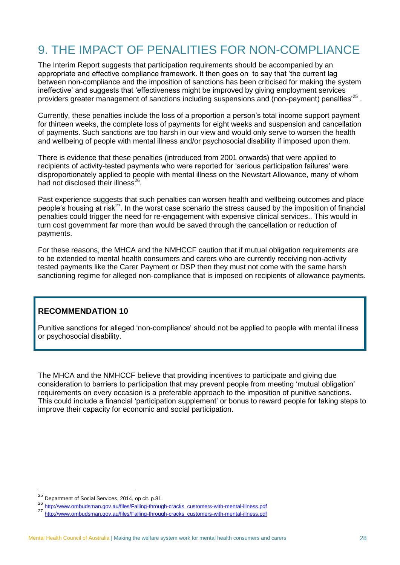# <span id="page-27-0"></span>9. THE IMPACT OF PENALITIES FOR NON-COMPLIANCE

The Interim Report suggests that participation requirements should be accompanied by an appropriate and effective compliance framework. It then goes on to say that 'the current lag between non-compliance and the imposition of sanctions has been criticised for making the system ineffective' and suggests that 'effectiveness might be improved by giving employment services providers greater management of sanctions including suspensions and (non-payment) penalties<sup>25</sup>.

Currently, these penalties include the loss of a proportion a person's total income support payment for thirteen weeks, the complete loss of payments for eight weeks and suspension and cancellation of payments. Such sanctions are too harsh in our view and would only serve to worsen the health and wellbeing of people with mental illness and/or psychosocial disability if imposed upon them.

There is evidence that these penalties (introduced from 2001 onwards) that were applied to recipients of activity-tested payments who were reported for 'serious participation failures' were disproportionately applied to people with mental illness on the Newstart Allowance, many of whom had not disclosed their illness<sup>26</sup>.

Past experience suggests that such penalties can worsen health and wellbeing outcomes and place people's housing at risk<sup>27</sup>. In the worst case scenario the stress caused by the imposition of financial penalties could trigger the need for re-engagement with expensive clinical services.. This would in turn cost government far more than would be saved through the cancellation or reduction of payments.

For these reasons, the MHCA and the NMHCCF caution that if mutual obligation requirements are to be extended to mental health consumers and carers who are currently receiving non-activity tested payments like the Carer Payment or DSP then they must not come with the same harsh sanctioning regime for alleged non-compliance that is imposed on recipients of allowance payments.

### **RECOMMENDATION 10**

Punitive sanctions for alleged 'non-compliance' should not be applied to people with mental illness or psychosocial disability.

The MHCA and the NMHCCF believe that providing incentives to participate and giving due consideration to barriers to participation that may prevent people from meeting 'mutual obligation' requirements on every occasion is a preferable approach to the imposition of punitive sanctions. This could include a financial 'participation supplement' or bonus to reward people for taking steps to improve their capacity for economic and social participation.

 $\overline{a}$ 

<sup>&</sup>lt;sup>25</sup> Department of Social Services, 2014, op cit. p.81.

<sup>26</sup> [http://www.ombudsman.gov.au/files/Falling-through-cracks\\_customers-with-mental-illness.pdf](http://www.ombudsman.gov.au/files/Falling-through-cracks_customers-with-mental-illness.pdf)<br>27 http://www.ombudsman.gov.au/files/Falling-through-cracks\_customers-with-mental-illness.pdf

nttp://www.ombudsman.gov.au/files/Falling-through-cracks\_customers-with-mental-illness.pdf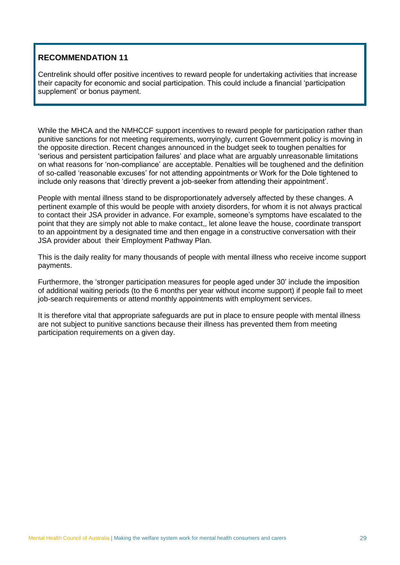Centrelink should offer positive incentives to reward people for undertaking activities that increase their capacity for economic and social participation. This could include a financial 'participation supplement' or bonus payment.

While the MHCA and the NMHCCF support incentives to reward people for participation rather than punitive sanctions for not meeting requirements, worryingly, current Government policy is moving in the opposite direction. Recent changes announced in the budget seek to toughen penalties for 'serious and persistent participation failures' and place what are arguably unreasonable limitations on what reasons for 'non-compliance' are acceptable. Penalties will be toughened and the definition of so-called 'reasonable excuses' for not attending appointments or Work for the Dole tightened to include only reasons that 'directly prevent a job-seeker from attending their appointment'.

People with mental illness stand to be disproportionately adversely affected by these changes. A pertinent example of this would be people with anxiety disorders, for whom it is not always practical to contact their JSA provider in advance. For example, someone's symptoms have escalated to the point that they are simply not able to make contact,, let alone leave the house, coordinate transport to an appointment by a designated time and then engage in a constructive conversation with their JSA provider about their Employment Pathway Plan.

This is the daily reality for many thousands of people with mental illness who receive income support payments.

Furthermore, the 'stronger participation measures for people aged under 30' include the imposition of additional waiting periods (to the 6 months per year without income support) if people fail to meet job-search requirements or attend monthly appointments with employment services.

It is therefore vital that appropriate safeguards are put in place to ensure people with mental illness are not subject to punitive sanctions because their illness has prevented them from meeting participation requirements on a given day.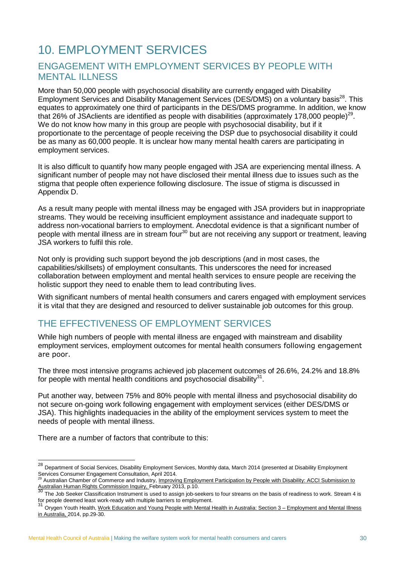# <span id="page-29-0"></span>10. EMPLOYMENT SERVICES

### <span id="page-29-1"></span>ENGAGEMENT WITH EMPLOYMENT SERVICES BY PEOPLE WITH MENTAL ILLNESS

More than 50,000 people with psychosocial disability are currently engaged with Disability Employment Services and Disability Management Services (DES/DMS) on a voluntary basis<sup>28</sup>. This equates to approximately one third of participants in the DES/DMS programme. In addition, we know that 26% of JSAclients are identified as people with disabilities (approximately 178,000 people)<sup>29</sup>. We do not know how many in this group are people with psychosocial disability, but if it proportionate to the percentage of people receiving the DSP due to psychosocial disability it could be as many as 60,000 people. It is unclear how many mental health carers are participating in employment services.

It is also difficult to quantify how many people engaged with JSA are experiencing mental illness. A significant number of people may not have disclosed their mental illness due to issues such as the stigma that people often experience following disclosure. The issue of stigma is discussed in Appendix D.

As a result many people with mental illness may be engaged with JSA providers but in inappropriate streams. They would be receiving insufficient employment assistance and inadequate support to address non-vocational barriers to employment. Anecdotal evidence is that a significant number of people with mental illness are in stream four<sup>30</sup> but are not receiving any support or treatment, leaving JSA workers to fulfil this role.

Not only is providing such support beyond the job descriptions (and in most cases, the capabilities/skillsets) of employment consultants. This underscores the need for increased collaboration between employment and mental health services to ensure people are receiving the holistic support they need to enable them to lead contributing lives.

With significant numbers of mental health consumers and carers engaged with employment services it is vital that they are designed and resourced to deliver sustainable job outcomes for this group.

# <span id="page-29-2"></span>THE EFFECTIVENESS OF EMPLOYMENT SERVICES

While high numbers of people with mental illness are engaged with mainstream and disability employment services, employment outcomes for mental health consumers following engagement are poor.

The three most intensive programs achieved job placement outcomes of 26.6%, 24.2% and 18.8% for people with mental health conditions and psychosocial disability $31$ .

Put another way, between 75% and 80% people with mental illness and psychosocial disability do not secure on-going work following engagement with employment services (either DES/DMS or JSA). This highlights inadequacies in the ability of the employment services system to meet the needs of people with mental illness.

There are a number of factors that contribute to this:

 $\overline{a}$ 

<sup>&</sup>lt;sup>28</sup> Department of Social Services, Disability Employment Services, Monthly data, March 2014 (presented at Disability Employment Services Consumer Engagement Consultation, April 2014.

Australian Chamber of Commerce and Industry, Improving Employment Participation by People with Disability: ACCI Submission to Australian Human Rights Commission Inquiry, February 2013, p.10.<br>30

The Job Seeker Classification Instrument is used to assign job-seekers to four streams on the basis of readiness to work. Stream 4 is for people deemed least work-ready with multiple barriers to employment.

<sup>&</sup>lt;sup>31</sup> Orvgen Youth Health, Work Education and Young People with Mental Health in Australia: Section 3 – Employment and Mental Illness in Australia, 2014, pp.29-30.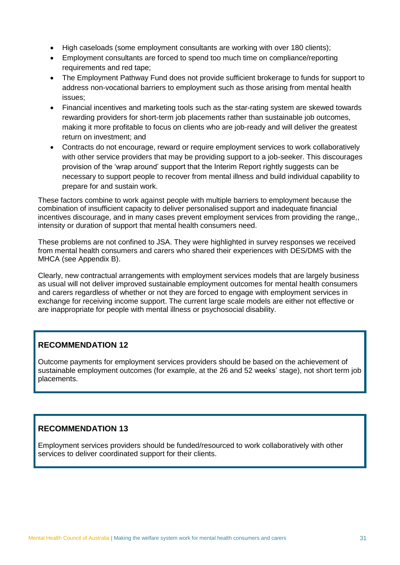- High caseloads (some employment consultants are working with over 180 clients);
- Employment consultants are forced to spend too much time on compliance/reporting requirements and red tape;
- The Employment Pathway Fund does not provide sufficient brokerage to funds for support to address non-vocational barriers to employment such as those arising from mental health issues;
- Financial incentives and marketing tools such as the star-rating system are skewed towards rewarding providers for short-term job placements rather than sustainable job outcomes, making it more profitable to focus on clients who are job-ready and will deliver the greatest return on investment; and
- Contracts do not encourage, reward or require employment services to work collaboratively with other service providers that may be providing support to a job-seeker. This discourages provision of the 'wrap around' support that the Interim Report rightly suggests can be necessary to support people to recover from mental illness and build individual capability to prepare for and sustain work.

These factors combine to work against people with multiple barriers to employment because the combination of insufficient capacity to deliver personalised support and inadequate financial incentives discourage, and in many cases prevent employment services from providing the range,, intensity or duration of support that mental health consumers need.

These problems are not confined to JSA. They were highlighted in survey responses we received from mental health consumers and carers who shared their experiences with DES/DMS with the MHCA (see Appendix B).

Clearly, new contractual arrangements with employment services models that are largely business as usual will not deliver improved sustainable employment outcomes for mental health consumers and carers regardless of whether or not they are forced to engage with employment services in exchange for receiving income support. The current large scale models are either not effective or are inappropriate for people with mental illness or psychosocial disability.

### **RECOMMENDATION 12**

Outcome payments for employment services providers should be based on the achievement of sustainable employment outcomes (for example, at the 26 and 52 weeks' stage), not short term job placements.

### **RECOMMENDATION 13**

Employment services providers should be funded/resourced to work collaboratively with other services to deliver coordinated support for their clients.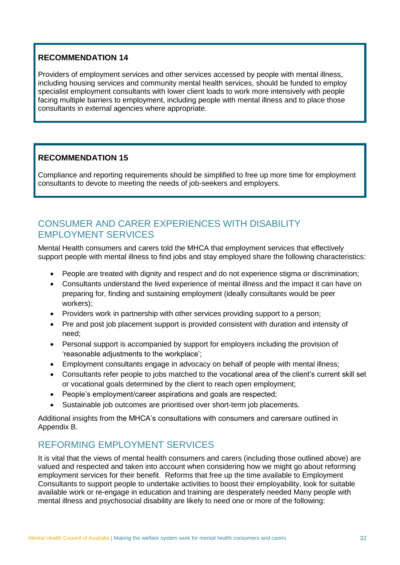Providers of employment services and other services accessed by people with mental illness, including housing services and community mental health services, should be funded to employ specialist employment consultants with lower client loads to work more intensively with people facing multiple barriers to employment, including people with mental illness and to place those consultants in external agencies where appropriate.

### **RECOMMENDATION 15**

Compliance and reporting requirements should be simplified to free up more time for employment consultants to devote to meeting the needs of job-seekers and employers.

### <span id="page-31-0"></span>CONSUMER AND CARER EXPERIENCES WITH DISABILITY EMPLOYMENT SERVICES

Mental Health consumers and carers told the MHCA that employment services that effectively support people with mental illness to find jobs and stay employed share the following characteristics:

- People are treated with dignity and respect and do not experience stigma or discrimination;
- Consultants understand the lived experience of mental illness and the impact it can have on preparing for, finding and sustaining employment (ideally consultants would be peer workers);
- Providers work in partnership with other services providing support to a person;
- Pre and post job placement support is provided consistent with duration and intensity of need;
- Personal support is accompanied by support for employers including the provision of 'reasonable adjustments to the workplace';
- Employment consultants engage in advocacy on behalf of people with mental illness;
- Consultants refer people to jobs matched to the vocational area of the client's current skill set or vocational goals determined by the client to reach open employment;
- People's employment/career aspirations and goals are respected;
- Sustainable job outcomes are prioritised over short-term job placements.

Additional insights from the MHCA's consultations with consumers and carersare outlined in Appendix B.

# <span id="page-31-1"></span>REFORMING EMPLOYMENT SERVICES

It is vital that the views of mental health consumers and carers (including those outlined above) are valued and respected and taken into account when considering how we might go about reforming employment services for their benefit. Reforms that free up the time available to Employment Consultants to support people to undertake activities to boost their employability, look for suitable available work or re-engage in education and training are desperately needed Many people with mental illness and psychosocial disability are likely to need one or more of the following: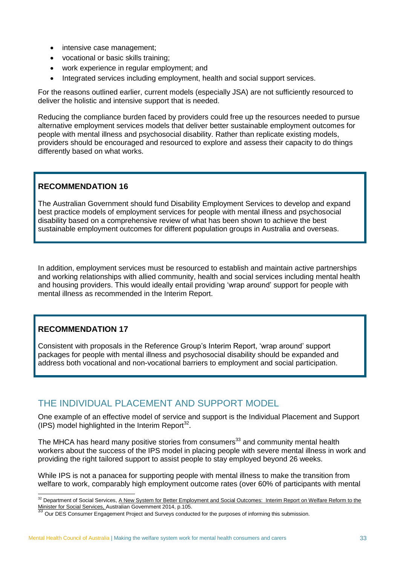- intensive case management;
- vocational or basic skills training;
- work experience in regular employment; and
- Integrated services including employment, health and social support services.

For the reasons outlined earlier, current models (especially JSA) are not sufficiently resourced to deliver the holistic and intensive support that is needed.

Reducing the compliance burden faced by providers could free up the resources needed to pursue alternative employment services models that deliver better sustainable employment outcomes for people with mental illness and psychosocial disability. Rather than replicate existing models, providers should be encouraged and resourced to explore and assess their capacity to do things differently based on what works.

### **RECOMMENDATION 16**

The Australian Government should fund Disability Employment Services to develop and expand best practice models of employment services for people with mental illness and psychosocial disability based on a comprehensive review of what has been shown to achieve the best sustainable employment outcomes for different population groups in Australia and overseas.

In addition, employment services must be resourced to establish and maintain active partnerships and working relationships with allied community, health and social services including mental health and housing providers. This would ideally entail providing 'wrap around' support for people with mental illness as recommended in the Interim Report.

### **RECOMMENDATION 17**

Consistent with proposals in the Reference Group's Interim Report, 'wrap around' support packages for people with mental illness and psychosocial disability should be expanded and address both vocational and non-vocational barriers to employment and social participation.

### <span id="page-32-0"></span>THE INDIVIDUAL PLACEMENT AND SUPPORT MODEL

One example of an effective model of service and support is the Individual Placement and Support  $(IPS)$  model highlighted in the Interim Report<sup>32</sup>.

The MHCA has heard many positive stories from consumers<sup>33</sup> and community mental health workers about the success of the IPS model in placing people with severe mental illness in work and providing the right tailored support to assist people to stay employed beyond 26 weeks.

While IPS is not a panacea for supporting people with mental illness to make the transition from welfare to work, comparably high employment outcome rates (over 60% of participants with mental

<sup>-</sup><sup>32</sup> Department of Social Services, A New System for Better Employment and Social Outcomes: Interim Report on Welfare Reform to the Minister for Social Services, Australian Government 2014, p.105.<br>
33 Our DES Cassis —

Our DES Consumer Engagement Project and Surveys conducted for the purposes of informing this submission.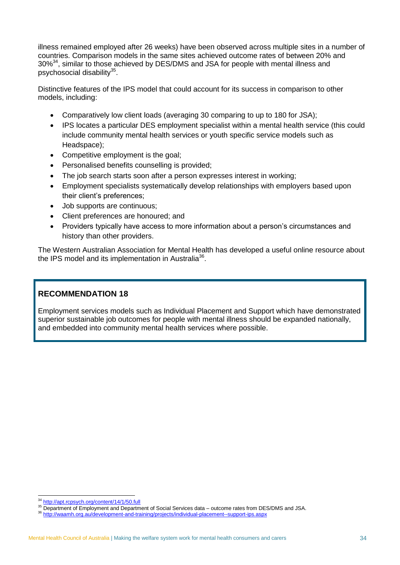illness remained employed after 26 weeks) have been observed across multiple sites in a number of countries. Comparison models in the same sites achieved outcome rates of between 20% and 30%<sup>34</sup>, similar to those achieved by DES/DMS and JSA for people with mental illness and psychosocial disability<sup>35</sup>.

Distinctive features of the IPS model that could account for its success in comparison to other models, including:

- Comparatively low client loads (averaging 30 comparing to up to 180 for JSA);
- IPS locates a particular DES employment specialist within a mental health service (this could include community mental health services or youth specific service models such as Headspace);
- Competitive employment is the goal;
- Personalised benefits counselling is provided;
- The job search starts soon after a person expresses interest in working;
- Employment specialists systematically develop relationships with employers based upon their client's preferences;
- Job supports are continuous;
- Client preferences are honoured; and
- Providers typically have access to more information about a person's circumstances and history than other providers.

The Western Australian Association for Mental Health has developed a useful online resource about the IPS model and its implementation in Australia<sup>36</sup>.

### **RECOMMENDATION 18**

Employment services models such as Individual Placement and Support which have demonstrated superior sustainable job outcomes for people with mental illness should be expanded nationally, and embedded into community mental health services where possible.

<sup>34</sup> <http://apt.rcpsych.org/content/14/1/50.full>

<sup>&</sup>lt;sup>35</sup> Department of Employment and Department of Social Services data – outcome rates from DES/DMS and JSA.

<sup>36</sup> <http://waamh.org.au/development-and-training/projects/individual-placement--support-ips.aspx>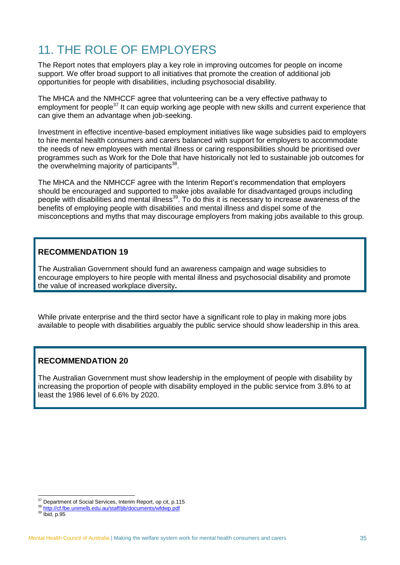# <span id="page-34-0"></span>11 THE ROLE OF EMPLOYERS

The Report notes that employers play a key role in improving outcomes for people on income support. We offer broad support to all initiatives that promote the creation of additional job opportunities for people with disabilities, including psychosocial disability.

The MHCA and the NMHCCF agree that volunteering can be a very effective pathway to employment for people<sup>37</sup> It can equip working age people with new skills and current experience that can give them an advantage when job-seeking.

Investment in effective incentive-based employment initiatives like wage subsidies paid to employers to hire mental health consumers and carers balanced with support for employers to accommodate the needs of new employees with mental illness or caring responsibilities should be prioritised over programmes such as Work for the Dole that have historically not led to sustainable job outcomes for the overwhelming majority of participants<sup>38</sup>.

The MHCA and the NMHCCF agree with the Interim Report's recommendation that employers should be encouraged and supported to make jobs available for disadvantaged groups including people with disabilities and mental illness<sup>39</sup>. To do this it is necessary to increase awareness of the benefits of employing people with disabilities and mental illness and dispel some of the misconceptions and myths that may discourage employers from making jobs available to this group.

### **RECOMMENDATION 19**

The Australian Government should fund an awareness campaign and wage subsidies to encourage employers to hire people with mental illness and psychosocial disability and promote the value of increased workplace diversity**.**

While private enterprise and the third sector have a significant role to play in making more jobs available to people with disabilities arguably the public service should show leadership in this area.

### **RECOMMENDATION 20**

The Australian Government must show leadership in the employment of people with disability by increasing the proportion of people with disability employed in the public service from 3.8% to at least the 1986 level of 6.6% by 2020.

-

<sup>&</sup>lt;sup>37</sup> Department of Social Services, Interim Report, op cit, p.115

<sup>38</sup> <http://cf.fbe.unimelb.edu.au/staff/jib/documents/wfdwp.pdf>

 $39$   $\frac{Imp}{B}$   $\frac{1}{1}$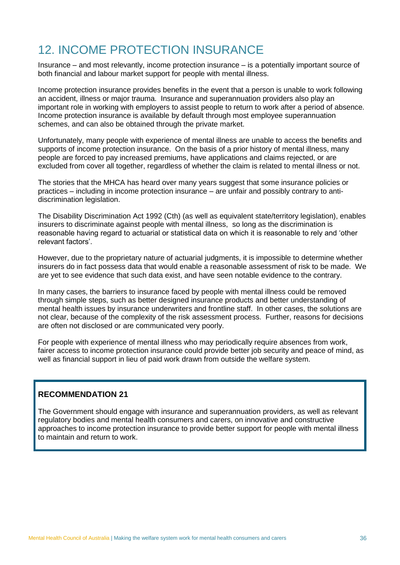# <span id="page-35-0"></span>12. INCOME PROTECTION INSURANCE

Insurance – and most relevantly, income protection insurance – is a potentially important source of both financial and labour market support for people with mental illness.

Income protection insurance provides benefits in the event that a person is unable to work following an accident, illness or major trauma. Insurance and superannuation providers also play an important role in working with employers to assist people to return to work after a period of absence. Income protection insurance is available by default through most employee superannuation schemes, and can also be obtained through the private market.

Unfortunately, many people with experience of mental illness are unable to access the benefits and supports of income protection insurance. On the basis of a prior history of mental illness, many people are forced to pay increased premiums, have applications and claims rejected, or are excluded from cover all together, regardless of whether the claim is related to mental illness or not.

The stories that the MHCA has heard over many years suggest that some insurance policies or practices – including in income protection insurance – are unfair and possibly contrary to antidiscrimination legislation.

The Disability Discrimination Act 1992 (Cth) (as well as equivalent state/territory legislation), enables insurers to discriminate against people with mental illness, so long as the discrimination is reasonable having regard to actuarial or statistical data on which it is reasonable to rely and 'other relevant factors'.

However, due to the proprietary nature of actuarial judgments, it is impossible to determine whether insurers do in fact possess data that would enable a reasonable assessment of risk to be made. We are yet to see evidence that such data exist, and have seen notable evidence to the contrary.

In many cases, the barriers to insurance faced by people with mental illness could be removed through simple steps, such as better designed insurance products and better understanding of mental health issues by insurance underwriters and frontline staff. In other cases, the solutions are not clear, because of the complexity of the risk assessment process. Further, reasons for decisions are often not disclosed or are communicated very poorly.

For people with experience of mental illness who may periodically require absences from work, fairer access to income protection insurance could provide better job security and peace of mind, as well as financial support in lieu of paid work drawn from outside the welfare system.

### **RECOMMENDATION 21**

The Government should engage with insurance and superannuation providers, as well as relevant regulatory bodies and mental health consumers and carers, on innovative and constructive approaches to income protection insurance to provide better support for people with mental illness to maintain and return to work.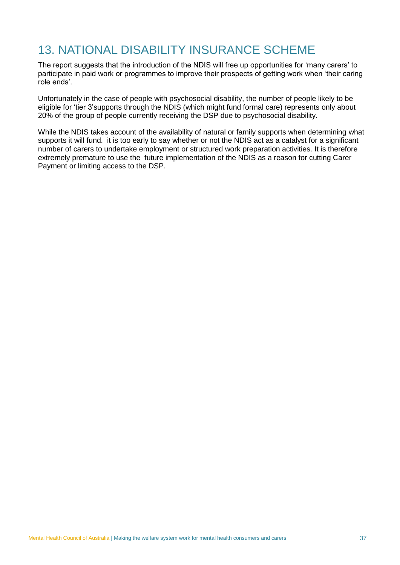# <span id="page-36-0"></span>13. NATIONAL DISABILITY INSURANCE SCHEME

The report suggests that the introduction of the NDIS will free up opportunities for 'many carers' to participate in paid work or programmes to improve their prospects of getting work when 'their caring role ends'.

Unfortunately in the case of people with psychosocial disability, the number of people likely to be eligible for 'tier 3'supports through the NDIS (which might fund formal care) represents only about 20% of the group of people currently receiving the DSP due to psychosocial disability.

While the NDIS takes account of the availability of natural or family supports when determining what supports it will fund. it is too early to say whether or not the NDIS act as a catalyst for a significant number of carers to undertake employment or structured work preparation activities. It is therefore extremely premature to use the future implementation of the NDIS as a reason for cutting Carer Payment or limiting access to the DSP.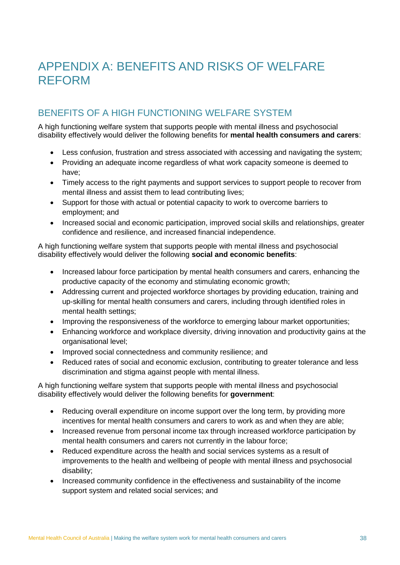# <span id="page-37-0"></span>APPENDIX A: BENEFITS AND RISKS OF WELFARE REFORM

### BENEFITS OF A HIGH FUNCTIONING WELFARE SYSTEM

A high functioning welfare system that supports people with mental illness and psychosocial disability effectively would deliver the following benefits for **mental health consumers and carers**:

- Less confusion, frustration and stress associated with accessing and navigating the system;
- Providing an adequate income regardless of what work capacity someone is deemed to have;
- Timely access to the right payments and support services to support people to recover from mental illness and assist them to lead contributing lives;
- Support for those with actual or potential capacity to work to overcome barriers to employment; and
- Increased social and economic participation, improved social skills and relationships, greater confidence and resilience, and increased financial independence.

A high functioning welfare system that supports people with mental illness and psychosocial disability effectively would deliver the following **social and economic benefits**:

- Increased labour force participation by mental health consumers and carers, enhancing the productive capacity of the economy and stimulating economic growth;
- Addressing current and projected workforce shortages by providing education, training and up-skilling for mental health consumers and carers, including through identified roles in mental health settings;
- Improving the responsiveness of the workforce to emerging labour market opportunities;
- Enhancing workforce and workplace diversity, driving innovation and productivity gains at the organisational level;
- Improved social connectedness and community resilience; and
- Reduced rates of social and economic exclusion, contributing to greater tolerance and less discrimination and stigma against people with mental illness.

A high functioning welfare system that supports people with mental illness and psychosocial disability effectively would deliver the following benefits for **government**:

- Reducing overall expenditure on income support over the long term, by providing more incentives for mental health consumers and carers to work as and when they are able;
- Increased revenue from personal income tax through increased workforce participation by mental health consumers and carers not currently in the labour force;
- Reduced expenditure across the health and social services systems as a result of improvements to the health and wellbeing of people with mental illness and psychosocial disability;
- Increased community confidence in the effectiveness and sustainability of the income support system and related social services; and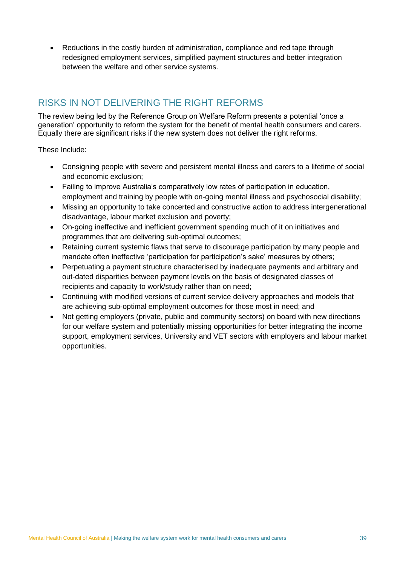• Reductions in the costly burden of administration, compliance and red tape through redesigned employment services, simplified payment structures and better integration between the welfare and other service systems.

# RISKS IN NOT DELIVERING THE RIGHT REFORMS

The review being led by the Reference Group on Welfare Reform presents a potential 'once a generation' opportunity to reform the system for the benefit of mental health consumers and carers. Equally there are significant risks if the new system does not deliver the right reforms.

These Include:

- Consigning people with severe and persistent mental illness and carers to a lifetime of social and economic exclusion;
- Failing to improve Australia's comparatively low rates of participation in education, employment and training by people with on-going mental illness and psychosocial disability;
- Missing an opportunity to take concerted and constructive action to address intergenerational disadvantage, labour market exclusion and poverty;
- On-going ineffective and inefficient government spending much of it on initiatives and programmes that are delivering sub-optimal outcomes;
- Retaining current systemic flaws that serve to discourage participation by many people and mandate often ineffective 'participation for participation's sake' measures by others;
- Perpetuating a payment structure characterised by inadequate payments and arbitrary and out-dated disparities between payment levels on the basis of designated classes of recipients and capacity to work/study rather than on need;
- Continuing with modified versions of current service delivery approaches and models that are achieving sub-optimal employment outcomes for those most in need; and
- Not getting employers (private, public and community sectors) on board with new directions for our welfare system and potentially missing opportunities for better integrating the income support, employment services, University and VET sectors with employers and labour market opportunities.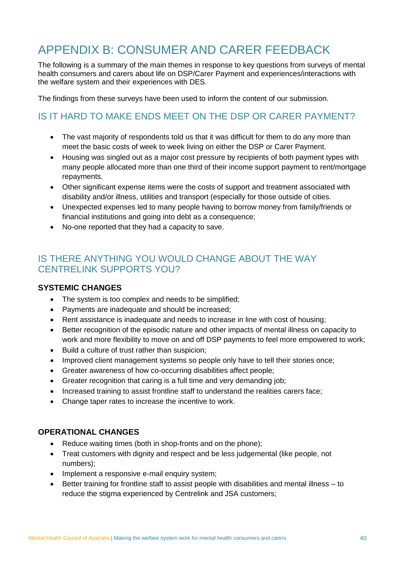# <span id="page-39-0"></span>APPENDIX B: CONSUMER AND CARER FEEDBACK

The following is a summary of the main themes in response to key questions from surveys of mental health consumers and carers about life on DSP/Carer Payment and experiences/interactions with the welfare system and their experiences with DES.

The findings from these surveys have been used to inform the content of our submission.

# IS IT HARD TO MAKE ENDS MEET ON THE DSP OR CARER PAYMENT?

- The vast majority of respondents told us that it was difficult for them to do any more than meet the basic costs of week to week living on either the DSP or Carer Payment.
- Housing was singled out as a major cost pressure by recipients of both payment types with many people allocated more than one third of their income support payment to rent/mortgage repayments.
- Other significant expense items were the costs of support and treatment associated with disability and/or illness, utilities and transport (especially for those outside of cities.
- Unexpected expenses led to many people having to borrow money from family/friends or financial institutions and going into debt as a consequence;
- No-one reported that they had a capacity to save.

# IS THERE ANYTHING YOU WOULD CHANGE ABOUT THE WAY CENTRELINK SUPPORTS YOU?

### **SYSTEMIC CHANGES**

- The system is too complex and needs to be simplified;
- Payments are inadequate and should be increased;
- Rent assistance is inadequate and needs to increase in line with cost of housing;
- Better recognition of the episodic nature and other impacts of mental illness on capacity to work and more flexibility to move on and off DSP payments to feel more empowered to work;
- Build a culture of trust rather than suspicion:
- Improved client management systems so people only have to tell their stories once;
- Greater awareness of how co-occurring disabilities affect people;
- Greater recognition that caring is a full time and very demanding job;
- Increased training to assist frontline staff to understand the realities carers face;
- Change taper rates to increase the incentive to work.

### **OPERATIONAL CHANGES**

- Reduce waiting times (both in shop-fronts and on the phone);
- Treat customers with dignity and respect and be less judgemental (like people, not numbers);
- Implement a responsive e-mail enquiry system;
- Better training for frontline staff to assist people with disabilities and mental illness to reduce the stigma experienced by Centrelink and JSA customers;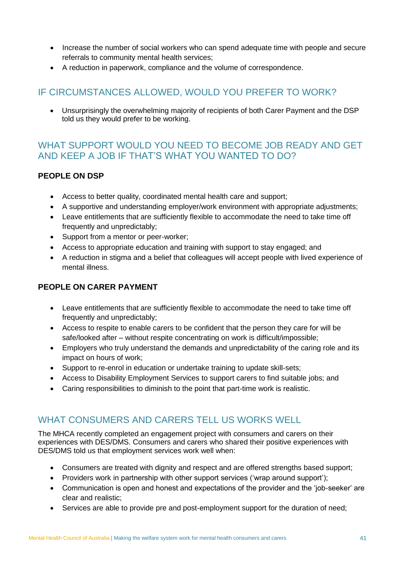- Increase the number of social workers who can spend adequate time with people and secure referrals to community mental health services;
- A reduction in paperwork, compliance and the volume of correspondence.

# IF CIRCUMSTANCES ALLOWED, WOULD YOU PREFER TO WORK?

 Unsurprisingly the overwhelming majority of recipients of both Carer Payment and the DSP told us they would prefer to be working.

### WHAT SUPPORT WOULD YOU NEED TO BECOME JOB READY AND GET AND KEEP A JOB IF THAT'S WHAT YOU WANTED TO DO?

### **PEOPLE ON DSP**

- Access to better quality, coordinated mental health care and support;
- A supportive and understanding employer/work environment with appropriate adjustments;
- Leave entitlements that are sufficiently flexible to accommodate the need to take time off frequently and unpredictably;
- Support from a mentor or peer-worker;
- Access to appropriate education and training with support to stay engaged; and
- A reduction in stigma and a belief that colleagues will accept people with lived experience of mental illness.

### **PEOPLE ON CARER PAYMENT**

- Leave entitlements that are sufficiently flexible to accommodate the need to take time off frequently and unpredictably;
- Access to respite to enable carers to be confident that the person they care for will be safe/looked after – without respite concentrating on work is difficult/impossible;
- Employers who truly understand the demands and unpredictability of the caring role and its impact on hours of work;
- Support to re-enrol in education or undertake training to update skill-sets;
- Access to Disability Employment Services to support carers to find suitable jobs; and
- Caring responsibilities to diminish to the point that part-time work is realistic.

### WHAT CONSUMERS AND CARERS TELL US WORKS WELL

The MHCA recently completed an engagement project with consumers and carers on their experiences with DES/DMS. Consumers and carers who shared their positive experiences with DES/DMS told us that employment services work well when:

- Consumers are treated with dignity and respect and are offered strengths based support;
- Providers work in partnership with other support services ('wrap around support');
- Communication is open and honest and expectations of the provider and the 'job-seeker' are clear and realistic;
- Services are able to provide pre and post-employment support for the duration of need;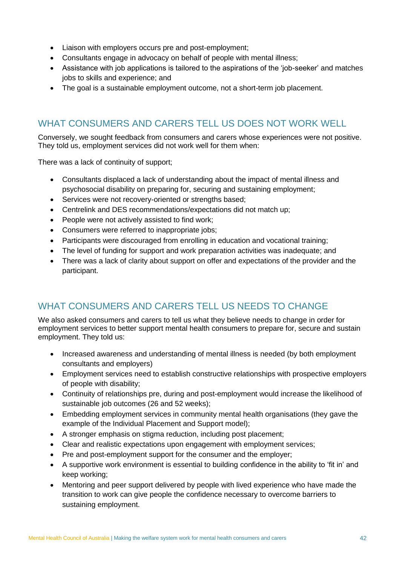- Liaison with employers occurs pre and post-employment;
- Consultants engage in advocacy on behalf of people with mental illness;
- Assistance with job applications is tailored to the aspirations of the 'job-seeker' and matches jobs to skills and experience; and
- The goal is a sustainable employment outcome, not a short-term job placement.

### WHAT CONSUMERS AND CARERS TELL US DOES NOT WORK WELL

Conversely, we sought feedback from consumers and carers whose experiences were not positive. They told us, employment services did not work well for them when:

There was a lack of continuity of support;

- Consultants displaced a lack of understanding about the impact of mental illness and psychosocial disability on preparing for, securing and sustaining employment;
- Services were not recovery-oriented or strengths based;
- Centrelink and DES recommendations/expectations did not match up;
- People were not actively assisted to find work:
- Consumers were referred to inappropriate jobs;
- Participants were discouraged from enrolling in education and vocational training;
- The level of funding for support and work preparation activities was inadequate; and
- There was a lack of clarity about support on offer and expectations of the provider and the participant.

# WHAT CONSUMERS AND CARERS TELL US NEEDS TO CHANGE

We also asked consumers and carers to tell us what they believe needs to change in order for employment services to better support mental health consumers to prepare for, secure and sustain employment. They told us:

- Increased awareness and understanding of mental illness is needed (by both employment consultants and employers)
- Employment services need to establish constructive relationships with prospective employers of people with disability;
- Continuity of relationships pre, during and post-employment would increase the likelihood of sustainable job outcomes (26 and 52 weeks);
- Embedding employment services in community mental health organisations (they gave the example of the Individual Placement and Support model);
- A stronger emphasis on stigma reduction, including post placement;
- Clear and realistic expectations upon engagement with employment services;
- Pre and post-employment support for the consumer and the employer;
- A supportive work environment is essential to building confidence in the ability to 'fit in' and keep working;
- Mentoring and peer support delivered by people with lived experience who have made the transition to work can give people the confidence necessary to overcome barriers to sustaining employment.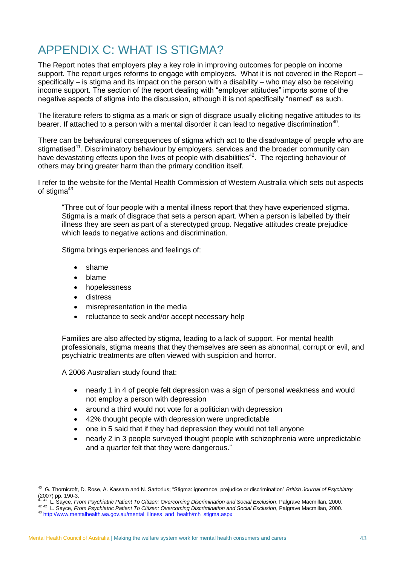# <span id="page-42-0"></span>APPENDIX C: WHAT IS STIGMA?

The Report notes that employers play a key role in improving outcomes for people on income support. The report urges reforms to engage with employers. What it is not covered in the Report – specifically – is stigma and its impact on the person with a disability – who may also be receiving income support. The section of the report dealing with "employer attitudes" imports some of the negative aspects of stigma into the discussion, although it is not specifically "named" as such.

The literature refers to stigma as a mark or sign of disgrace usually eliciting negative attitudes to its bearer. If attached to a person with a mental disorder it can lead to negative discrimination<sup>40</sup>.

There can be behavioural consequences of stigma which act to the disadvantage of people who are stigmatised<sup>41</sup>. Discriminatory behaviour by employers, services and the broader community can have devastating effects upon the lives of people with disabilities<sup>42</sup>. The rejecting behaviour of others may bring greater harm than the primary condition itself.

I refer to the website for the Mental Health Commission of Western Australia which sets out aspects of stigma<sup>43</sup>

"Three out of four people with a mental illness report that they have experienced stigma. Stigma is a mark of disgrace that sets a person apart. When a person is labelled by their illness they are seen as part of a stereotyped group. Negative attitudes create prejudice which leads to negative actions and discrimination.

Stigma brings experiences and feelings of:

- shame
- blame
- hopelessness
- distress
- misrepresentation in the media
- reluctance to seek and/or accept necessary help

Families are also affected by stigma, leading to a lack of support. For mental health professionals, stigma means that they themselves are seen as abnormal, corrupt or evil, and psychiatric treatments are often viewed with suspicion and horror.

A 2006 Australian study found that:

- nearly 1 in 4 of people felt depression was a sign of personal weakness and would not employ a person with depression
- around a third would not vote for a politician with depression
- 42% thought people with depression were unpredictable
- one in 5 said that if they had depression they would not tell anyone
- nearly 2 in 3 people surveyed thought people with schizophrenia were unpredictable and a quarter felt that they were dangerous."

 40 G. Thornicroft, D. Rose, A. Kassam and N. Sartorius; "Stigma: ignorance, prejudice or discrimination" *British Journal of Psychiatry*  $(2007)$  pp. 190-3.

L. Sayce, *From Psychiatric Patient To Citizen: Overcoming Discrimination and Social Exclusion*, Palgrave Macmillan, 2000.

<sup>42</sup> 42 L. Sayce, *From Psychiatric Patient To Citizen: Overcoming Discrimination and Social Exclusion*, Palgrave Macmillan, 2000.

<sup>43</sup> [http://www.mentalhealth.wa.gov.au/mental\\_illness\\_and\\_health/mh\\_stigma.aspx](http://www.mentalhealth.wa.gov.au/mental_illness_and_health/mh_stigma.aspx)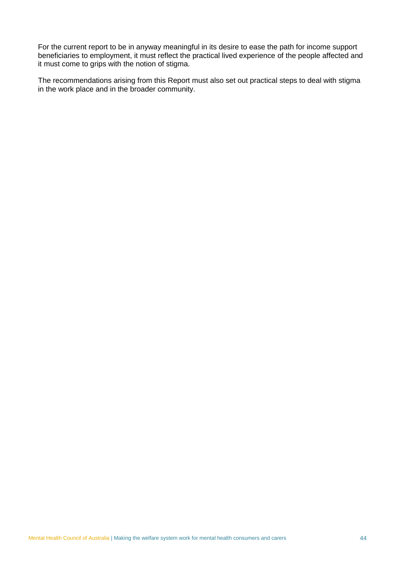For the current report to be in anyway meaningful in its desire to ease the path for income support beneficiaries to employment, it must reflect the practical lived experience of the people affected and it must come to grips with the notion of stigma.

The recommendations arising from this Report must also set out practical steps to deal with stigma in the work place and in the broader community.